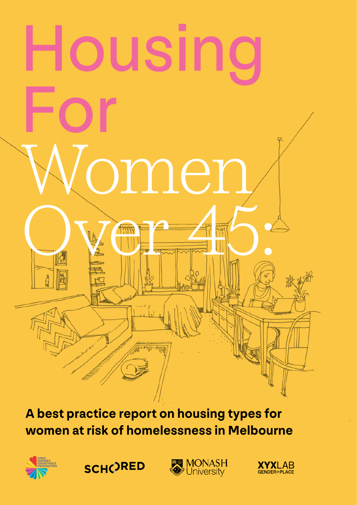# Housing For ome<sup>-</sup> Over 45 Million

**A best practice report on housing types for women at risk of homelessness in Melbourne**



**SCH()RED** 



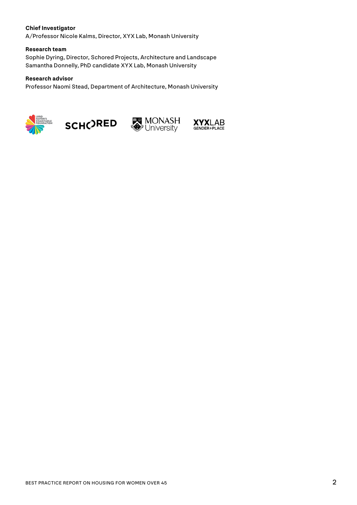#### **Chief Investigator**

A/Professor Nicole Kalms, Director, XYX Lab, Monash University

#### **Research team**

Sophie Dyring, Director, Schored Projects, Architecture and Landscape Samantha Donnelly, PhD candidate XYX Lab, Monash University

#### **Research advisor**

Professor Naomi Stead, Department of Architecture, Monash University







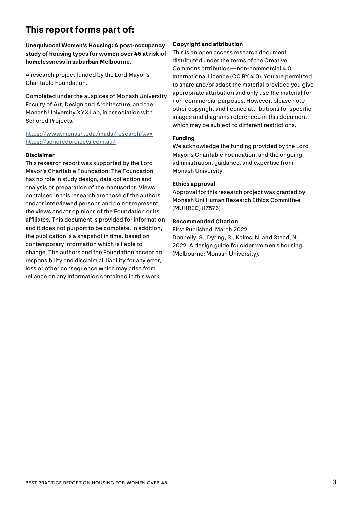#### **This report forms part of:**

**Unequivocal Women's Housing: A post-occupancy study of housing types for women over 45 at risk of homelessness in suburban Melbourne.**

A research project funded by the Lord Mayor's Charitable Foundation.

Completed under the auspices of Monash University Faculty of Art, Design and Architecture, and the Monash University XYX Lab, in association with Schored Projects.

<https://www.monash.edu/mada/research/xyx> <https://schoredprojects.com.au/>

#### **Disclaimer**

This research report was supported by the Lord Mayor's Charitable Foundation. The Foundation has no role in study design, data collection and analysis or preparation of the manuscript. Views contained in this research are those of the authors and/or interviewed persons and do not represent the views and/or opinions of the Foundation or its affiliates. This document is provided for information and it does not purport to be complete. In addition, the publication is a snapshot in time, based on contemporary information which is liable to change. The authors and the Foundation accept no responsibility and disclaim all liability for any error, loss or other consequence which may arise from reliance on any information contained in this work.

#### **Copyright and attribution**

This is an open access research document distributed under the terms of the Creative Commons attribution—non-commercial 4.0 International Licence (CC BY 4.0). You are permitted to share and/or adapt the material provided you give appropriate attribution and only use the material for non-commercial purposes. However, please note other copyright and licence attributions for specific images and diagrams referenced in this document, which may be subject to different restrictions.

#### **Funding**

We acknowledge the funding provided by the Lord Mayor's Charitable Foundation, and the ongoing administration, guidance, and expertise from Monash University.

#### **Ethics approval**

Approval for this research project was granted by Monash Uni Human Research Ethics Committee (MUHREC) (17576)

#### **Recommended Citation**

First Published: March 2022 Donnelly, S., Dyring, S., Kalms, N. and Stead, N. 2022. A design guide for older women's housing. (Melbourne: Monash University).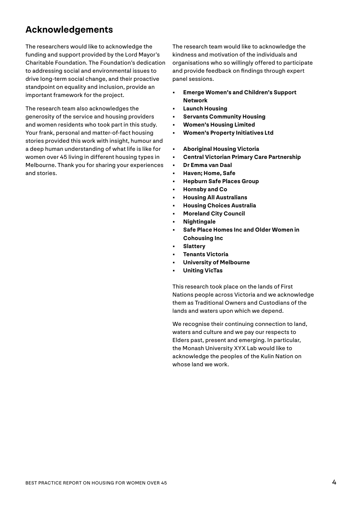#### **Acknowledgements**

The researchers would like to acknowledge the funding and support provided by the Lord Mayor's Charitable Foundation. The Foundation's dedication to addressing social and environmental issues to drive long-term social change, and their proactive standpoint on equality and inclusion, provide an important framework for the project.

The research team also acknowledges the generosity of the service and housing providers and women residents who took part in this study. Your frank, personal and matter-of-fact housing stories provided this work with insight, humour and a deep human understanding of what life is like for women over 45 living in different housing types in Melbourne. Thank you for sharing your experiences and stories.

The research team would like to acknowledge the kindness and motivation of the individuals and organisations who so willingly offered to participate and provide feedback on findings through expert panel sessions.

- **• Emerge Women's and Children's Support Network**
- **• Launch Housing**
- **• Servants Community Housing**
- **• Women's Housing Limited**
- **• Women's Property Initiatives Ltd**
- **• Aboriginal Housing Victoria**
- **• Central Victorian Primary Care Partnership**
- **• Dr Emma van Daal**
- **• Haven; Home, Safe**
- **• Hepburn Safe Places Group**
- **• Hornsby and Co**
- **• Housing All Australians**
- **• Housing Choices Australia**
- **• Moreland City Council**
- **• Nightingale**
- **• Safe Place Homes Inc and Older Women in Cohousing Inc**
- **• Slattery**
- **• Tenants Victoria**
- **• University of Melbourne**
- **• Uniting VicTas**

This research took place on the lands of First Nations people across Victoria and we acknowledge them as Traditional Owners and Custodians of the lands and waters upon which we depend.

We recognise their continuing connection to land, waters and culture and we pay our respects to Elders past, present and emerging. In particular, the Monash University XYX Lab would like to acknowledge the peoples of the Kulin Nation on whose land we work.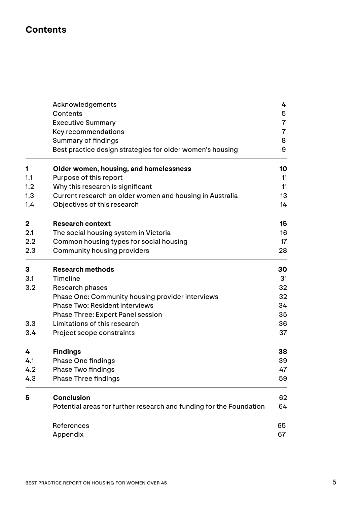#### **Contents**

|                | Acknowledgements                                                    | 4              |
|----------------|---------------------------------------------------------------------|----------------|
|                | Contents                                                            | 5              |
|                | <b>Executive Summary</b>                                            | $\overline{7}$ |
|                | Key recommendations                                                 | $\overline{7}$ |
|                | <b>Summary of findings</b>                                          | 8              |
|                | Best practice design strategies for older women's housing           | 9              |
| 1              | Older women, housing, and homelessness                              | 10             |
| 1.1            | Purpose of this report                                              | 11             |
| 1.2            | Why this research is significant                                    | 11             |
| 1.3            | Current research on older women and housing in Australia            | 13             |
| 1.4            | Objectives of this research                                         | 14             |
| $\overline{2}$ | <b>Research context</b>                                             | 15             |
| 2.1            | The social housing system in Victoria                               | 16             |
| 2.2            | Common housing types for social housing                             | 17             |
| 2.3            | <b>Community housing providers</b>                                  | 28             |
| 3              | <b>Research methods</b>                                             | 30             |
| 3.1            | Timeline                                                            | 31             |
| 3.2            | Research phases                                                     | 32             |
|                | Phase One: Community housing provider interviews                    | 32             |
|                | <b>Phase Two: Resident interviews</b>                               | 34             |
|                | <b>Phase Three: Expert Panel session</b>                            | 35             |
| 3.3            | Limitations of this research                                        | 36             |
| 3.4            | Project scope constraints                                           | 37             |
| 4              | <b>Findings</b>                                                     | 38             |
| 4.1            | <b>Phase One findings</b>                                           | 39             |
| 4.2            | <b>Phase Two findings</b>                                           | 47             |
| 4.3            | <b>Phase Three findings</b>                                         | 59             |
| 5              | <b>Conclusion</b>                                                   | 62             |
|                | Potential areas for further research and funding for the Foundation | 64             |
|                | References                                                          | 65             |
|                | Appendix                                                            | 67             |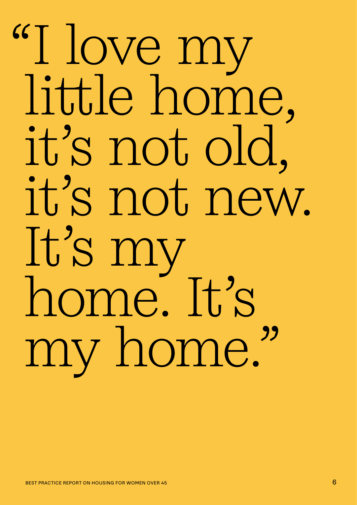# "I love my little home, it's not old, it's not new. It's my home. It's my home."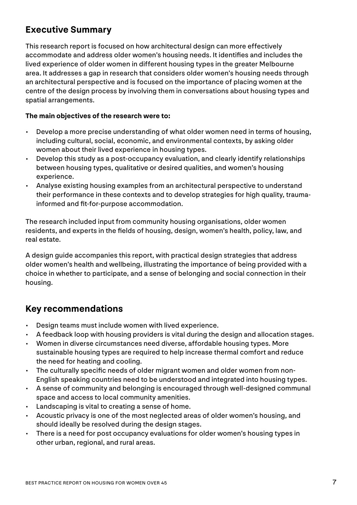#### **Executive Summary**

This research report is focused on how architectural design can more effectively accommodate and address older women's housing needs. It identifies and includes the lived experience of older women in different housing types in the greater Melbourne area. It addresses a gap in research that considers older women's housing needs through an architectural perspective and is focused on the importance of placing women at the centre of the design process by involving them in conversations about housing types and spatial arrangements.

#### **The main objectives of the research were to:**

- Develop a more precise understanding of what older women need in terms of housing, including cultural, social, economic, and environmental contexts, by asking older women about their lived experience in housing types.
- Develop this study as a post-occupancy evaluation, and clearly identify relationships between housing types, qualitative or desired qualities, and women's housing experience.
- Analyse existing housing examples from an architectural perspective to understand their performance in these contexts and to develop strategies for high quality, traumainformed and fit-for-purpose accommodation.

The research included input from community housing organisations, older women residents, and experts in the fields of housing, design, women's health, policy, law, and real estate.

A design guide accompanies this report, with practical design strategies that address older women's health and wellbeing, illustrating the importance of being provided with a choice in whether to participate, and a sense of belonging and social connection in their housing.

#### **Key recommendations**

- Design teams must include women with lived experience.
- A feedback loop with housing providers is vital during the design and allocation stages.
- Women in diverse circumstances need diverse, affordable housing types. More sustainable housing types are required to help increase thermal comfort and reduce the need for heating and cooling.
- The culturally specific needs of older migrant women and older women from non-English speaking countries need to be understood and integrated into housing types.
- A sense of community and belonging is encouraged through well-designed communal space and access to local community amenities.
- Landscaping is vital to creating a sense of home.
- Acoustic privacy is one of the most neglected areas of older women's housing, and should ideally be resolved during the design stages.
- There is a need for post occupancy evaluations for older women's housing types in other urban, regional, and rural areas.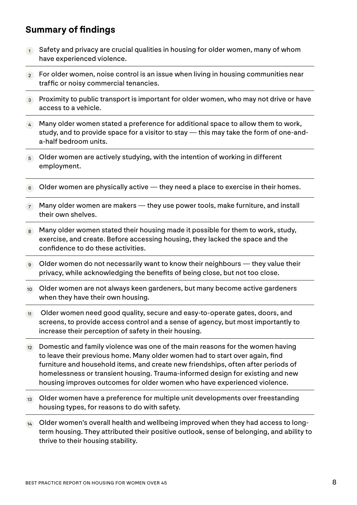#### **Summary of findings**

- $1$  Safety and privacy are crucial qualities in housing for older women, many of whom have experienced violence.
- 2 For older women, noise control is an issue when living in housing communities near traffic or noisy commercial tenancies.
- <sup>3</sup> Proximity to public transport is important for older women, who may not drive or have access to a vehicle.
- 4 Many older women stated a preference for additional space to allow them to work, study, and to provide space for a visitor to stay — this may take the form of one-anda-half bedroom units.
- $\overline{5}$  Older women are actively studying, with the intention of working in different employment.
- $6$  Older women are physically active they need a place to exercise in their homes.
- $7$  Many older women are makers they use power tools, make furniture, and install their own shelves.
- 8 Many older women stated their housing made it possible for them to work, study, exercise, and create. Before accessing housing, they lacked the space and the confidence to do these activities.
- 9 Older women do not necessarily want to know their neighbours they value their privacy, while acknowledging the benefits of being close, but not too close.
- 10 Older women are not always keen gardeners, but many become active gardeners when they have their own housing.
- 11 Older women need good quality, secure and easy-to-operate gates, doors, and screens, to provide access control and a sense of agency, but most importantly to increase their perception of safety in their housing.
- $12$  Domestic and family violence was one of the main reasons for the women having to leave their previous home. Many older women had to start over again, find furniture and household items, and create new friendships, often after periods of homelessness or transient housing. Trauma-informed design for existing and new housing improves outcomes for older women who have experienced violence.
- 13 Older women have a preference for multiple unit developments over freestanding housing types, for reasons to do with safety.
- 14 Older women's overall health and wellbeing improved when they had access to longterm housing. They attributed their positive outlook, sense of belonging, and ability to thrive to their housing stability.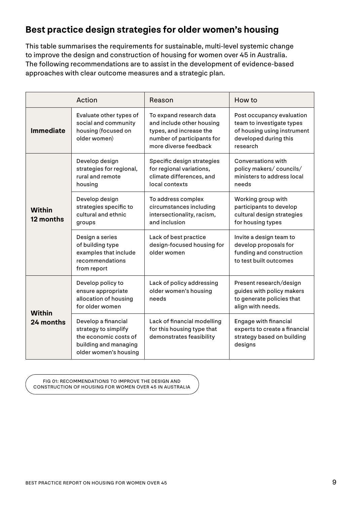#### **Best practice design strategies for older women's housing**

This table summarises the requirements for sustainable, multi-level systemic change to improve the design and construction of housing for women over 45 in Australia. The following recommendations are to assist in the development of evidence-based approaches with clear outcome measures and a strategic plan.

|                            | Action                                                                                                                 | Reason                                                                                                                                 | How to                                                                                                                     |
|----------------------------|------------------------------------------------------------------------------------------------------------------------|----------------------------------------------------------------------------------------------------------------------------------------|----------------------------------------------------------------------------------------------------------------------------|
| <b>Immediate</b>           | Evaluate other types of<br>social and community<br>housing (focused on<br>older women)                                 | To expand research data<br>and include other housing<br>types, and increase the<br>number of participants for<br>more diverse feedback | Post occupancy evaluation<br>team to investigate types<br>of housing using instrument<br>developed during this<br>research |
|                            | Develop design<br>strategies for regional,<br>rural and remote<br>housing                                              | Specific design strategies<br>for regional variations,<br>climate differences, and<br>local contexts                                   | Conversations with<br>policy makers/councils/<br>ministers to address local<br>needs                                       |
| <b>Within</b><br>12 months | Develop design<br>strategies specific to<br>cultural and ethnic<br>groups                                              | To address complex<br>circumstances including<br>intersectionality, racism,<br>and inclusion                                           | Working group with<br>participants to develop<br>cultural design strategies<br>for housing types                           |
|                            | Design a series<br>of building type<br>examples that include<br>recommendations<br>from report                         | Lack of best practice<br>design-focused housing for<br>older women                                                                     | Invite a design team to<br>develop proposals for<br>funding and construction<br>to test built outcomes                     |
| <b>Within</b>              | Develop policy to<br>ensure appropriate<br>allocation of housing<br>for older women                                    | Lack of policy addressing<br>older women's housing<br>needs                                                                            | Present research/design<br>guides with policy makers<br>to generate policies that<br>align with needs.                     |
| 24 months                  | Develop a financial<br>strategy to simplify<br>the economic costs of<br>building and managing<br>older women's housing | Lack of financial modelling<br>for this housing type that<br>demonstrates feasibility                                                  | <b>Engage with financial</b><br>experts to create a financial<br>strategy based on building<br>designs                     |

FIG 01: RECOMMENDATIONS TO IMPROVE THE DESIGN AND CONSTRUCTION OF HOUSING FOR WOMEN OVER 45 IN AUSTRALIA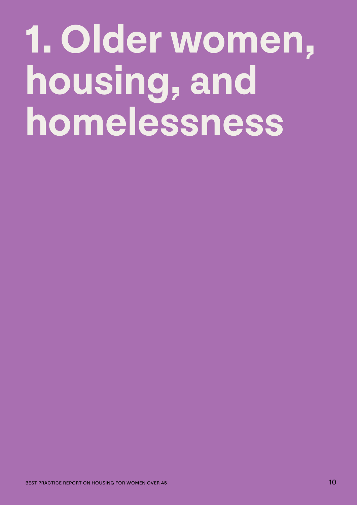# **1. Older women, housing, and homelessness**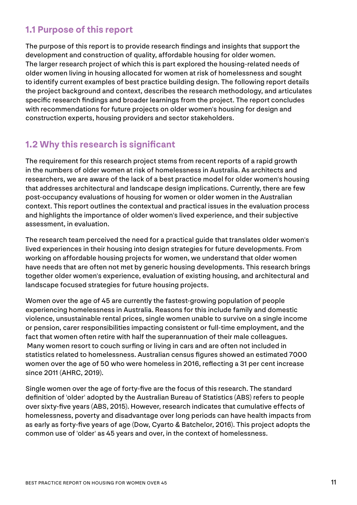#### **1.1 Purpose of this report**

The purpose of this report is to provide research findings and insights that support the development and construction of quality, affordable housing for older women. The larger research project of which this is part explored the housing-related needs of older women living in housing allocated for women at risk of homelessness and sought to identify current examples of best practice building design. The following report details the project background and context, describes the research methodology, and articulates specific research findings and broader learnings from the project. The report concludes with recommendations for future projects on older women's housing for design and construction experts, housing providers and sector stakeholders.

#### **1.2 Why this research is significant**

The requirement for this research project stems from recent reports of a rapid growth in the numbers of older women at risk of homelessness in Australia. As architects and researchers, we are aware of the lack of a best practice model for older women's housing that addresses architectural and landscape design implications. Currently, there are few post-occupancy evaluations of housing for women or older women in the Australian context. This report outlines the contextual and practical issues in the evaluation process and highlights the importance of older women's lived experience, and their subjective assessment, in evaluation.

The research team perceived the need for a practical guide that translates older women's lived experiences in their housing into design strategies for future developments. From working on affordable housing projects for women, we understand that older women have needs that are often not met by generic housing developments. This research brings together older women's experience, evaluation of existing housing, and architectural and landscape focused strategies for future housing projects.

Women over the age of 45 are currently the fastest-growing population of people experiencing homelessness in Australia. Reasons for this include family and domestic violence, unsustainable rental prices, single women unable to survive on a single income or pension, carer responsibilities impacting consistent or full-time employment, and the fact that women often retire with half the superannuation of their male colleagues. Many women resort to couch surfing or living in cars and are often not included in statistics related to homelessness. Australian census figures showed an estimated 7000 women over the age of 50 who were homeless in 2016, reflecting a 31 per cent increase since 2011 (AHRC, 2019).

Single women over the age of forty-five are the focus of this research. The standard definition of 'older' adopted by the Australian Bureau of Statistics (ABS) refers to people over sixty-five years (ABS, 2015). However, research indicates that cumulative effects of homelessness, poverty and disadvantage over long periods can have health impacts from as early as forty-five years of age (Dow, Cyarto & Batchelor, 2016). This project adopts the common use of 'older' as 45 years and over, in the context of homelessness.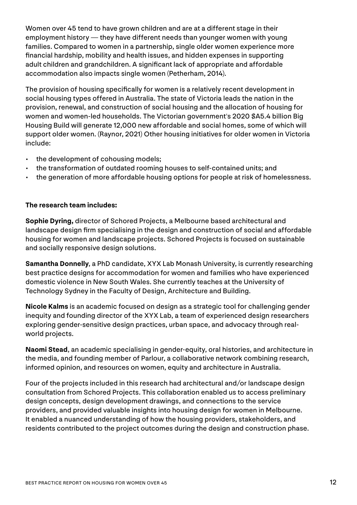Women over 45 tend to have grown children and are at a different stage in their employment history — they have different needs than younger women with young families. Compared to women in a partnership, single older women experience more financial hardship, mobility and health issues, and hidden expenses in supporting adult children and grandchildren. A significant lack of appropriate and affordable accommodation also impacts single women (Petherham, 2014).

The provision of housing specifically for women is a relatively recent development in social housing types offered in Australia. The state of Victoria leads the nation in the provision, renewal, and construction of social housing and the allocation of housing for women and women-led households. The Victorian government's 2020 \$A5.4 billion Big Housing Build will generate 12,000 new affordable and social homes, some of which will support older women. (Raynor, 2021) Other housing initiatives for older women in Victoria include:

- the development of cohousing models;
- the transformation of outdated rooming houses to self-contained units; and
- the generation of more affordable housing options for people at risk of homelessness.

#### **The research team includes:**

**Sophie Dyring,** director of Schored Projects, a Melbourne based architectural and landscape design firm specialising in the design and construction of social and affordable housing for women and landscape projects. Schored Projects is focused on sustainable and socially responsive design solutions.

**Samantha Donnelly**, a PhD candidate, XYX Lab Monash University, is currently researching best practice designs for accommodation for women and families who have experienced domestic violence in New South Wales. She currently teaches at the University of Technology Sydney in the Faculty of Design, Architecture and Building.

**Nicole Kalms** is an academic focused on design as a strategic tool for challenging gender inequity and founding director of the XYX Lab, a team of experienced design researchers exploring gender-sensitive design practices, urban space, and advocacy through realworld projects.

**Naomi Stead**, an academic specialising in gender-equity, oral histories, and architecture in the media, and founding member of Parlour, a collaborative network combining research, informed opinion, and resources on women, equity and architecture in Australia.

Four of the projects included in this research had architectural and/or landscape design consultation from Schored Projects. This collaboration enabled us to access preliminary design concepts, design development drawings, and connections to the service providers, and provided valuable insights into housing design for women in Melbourne. It enabled a nuanced understanding of how the housing providers, stakeholders, and residents contributed to the project outcomes during the design and construction phase.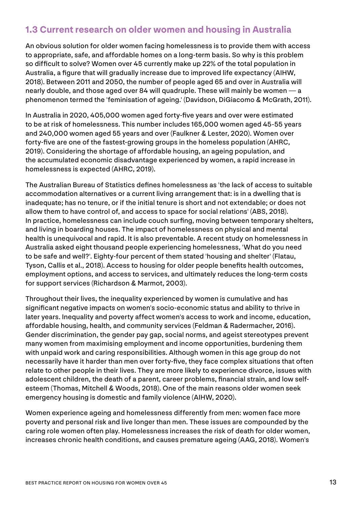#### **1.3 Current research on older women and housing in Australia**

An obvious solution for older women facing homelessness is to provide them with access to appropriate, safe, and affordable homes on a long-term basis. So why is this problem so difficult to solve? Women over 45 currently make up 22% of the total population in Australia, a figure that will gradually increase due to improved life expectancy (AIHW, 2018). Between 2011 and 2050, the number of people aged 65 and over in Australia will nearly double, and those aged over 84 will quadruple. These will mainly be women — a phenomenon termed the 'feminisation of ageing.' (Davidson, DiGiacomo & McGrath, 2011).

In Australia in 2020, 405,000 women aged forty-five years and over were estimated to be at risk of homelessness. This number includes 165,000 women aged 45-55 years and 240,000 women aged 55 years and over (Faulkner & Lester, 2020). Women over forty-five are one of the fastest-growing groups in the homeless population (AHRC, 2019). Considering the shortage of affordable housing, an ageing population, and the accumulated economic disadvantage experienced by women, a rapid increase in homelessness is expected (AHRC, 2019).

The Australian Bureau of Statistics defines homelessness as 'the lack of access to suitable accommodation alternatives or a current living arrangement that: is in a dwelling that is inadequate; has no tenure, or if the initial tenure is short and not extendable; or does not allow them to have control of, and access to space for social relations' (ABS, 2018). In practice, homelessness can include couch surfing, moving between temporary shelters, and living in boarding houses. The impact of homelessness on physical and mental health is unequivocal and rapid. It is also preventable. A recent study on homelessness in Australia asked eight thousand people experiencing homelessness, 'What do you need to be safe and well?'. Eighty-four percent of them stated 'housing and shelter' (Flatau, Tyson, Callis et al., 2018). Access to housing for older people benefits health outcomes, employment options, and access to services, and ultimately reduces the long-term costs for support services (Richardson & Marmot, 2003).

Throughout their lives, the inequality experienced by women is cumulative and has significant negative impacts on women's socio-economic status and ability to thrive in later years. Inequality and poverty affect women's access to work and income, education, affordable housing, health, and community services (Feldman & Radermacher, 2016). Gender discrimination, the gender pay gap, social norms, and ageist stereotypes prevent many women from maximising employment and income opportunities, burdening them with unpaid work and caring responsibilities. Although women in this age group do not necessarily have it harder than men over forty-five, they face complex situations that often relate to other people in their lives. They are more likely to experience divorce, issues with adolescent children, the death of a parent, career problems, financial strain, and low selfesteem (Thomas, Mitchell & Woods, 2018). One of the main reasons older women seek emergency housing is domestic and family violence (AIHW, 2020).

Women experience ageing and homelessness differently from men: women face more poverty and personal risk and live longer than men. These issues are compounded by the caring role women often play. Homelessness increases the risk of death for older women, increases chronic health conditions, and causes premature ageing (AAG, 2018). Women's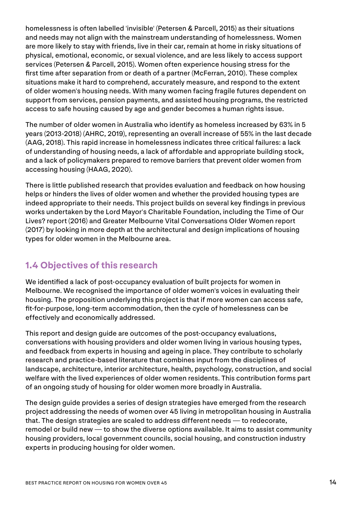homelessness is often labelled 'invisible' (Petersen & Parcell, 2015) as their situations and needs may not align with the mainstream understanding of homelessness. Women are more likely to stay with friends, live in their car, remain at home in risky situations of physical, emotional, economic, or sexual violence, and are less likely to access support services (Petersen & Parcell, 2015). Women often experience housing stress for the first time after separation from or death of a partner (McFerran, 2010). These complex situations make it hard to comprehend, accurately measure, and respond to the extent of older women's housing needs. With many women facing fragile futures dependent on support from services, pension payments, and assisted housing programs, the restricted access to safe housing caused by age and gender becomes a human rights issue.

The number of older women in Australia who identify as homeless increased by 63% in 5 years (2013-2018) (AHRC, 2019), representing an overall increase of 55% in the last decade (AAG, 2018). This rapid increase in homelessness indicates three critical failures: a lack of understanding of housing needs, a lack of affordable and appropriate building stock, and a lack of policymakers prepared to remove barriers that prevent older women from accessing housing (HAAG, 2020).

There is little published research that provides evaluation and feedback on how housing helps or hinders the lives of older women and whether the provided housing types are indeed appropriate to their needs. This project builds on several key findings in previous works undertaken by the Lord Mayor's Charitable Foundation, including the Time of Our Lives? report (2016) and Greater Melbourne Vital Conversations Older Women report (2017) by looking in more depth at the architectural and design implications of housing types for older women in the Melbourne area.

#### **1.4 Objectives of this research**

We identified a lack of post-occupancy evaluation of built projects for women in Melbourne. We recognised the importance of older women's voices in evaluating their housing. The proposition underlying this project is that if more women can access safe, fit-for-purpose, long-term accommodation, then the cycle of homelessness can be effectively and economically addressed.

This report and design guide are outcomes of the post-occupancy evaluations, conversations with housing providers and older women living in various housing types, and feedback from experts in housing and ageing in place. They contribute to scholarly research and practice-based literature that combines input from the disciplines of landscape, architecture, interior architecture, health, psychology, construction, and social welfare with the lived experiences of older women residents. This contribution forms part of an ongoing study of housing for older women more broadly in Australia.

The design guide provides a series of design strategies have emerged from the research project addressing the needs of women over 45 living in metropolitan housing in Australia that. The design strategies are scaled to address different needs — to redecorate, remodel or build new — to show the diverse options available. It aims to assist community housing providers, local government councils, social housing, and construction industry experts in producing housing for older women.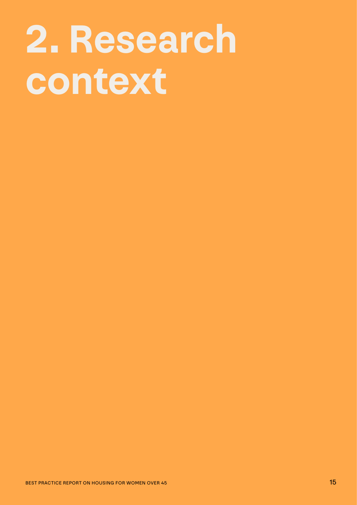# **2. Research context**

BEST PRACTICE REPORT ON HOUSING FOR WOMEN OVER 45 15 15 15 15 15 15 15 15 15 15 15 15 16 17 17 17 17 17 17 17 1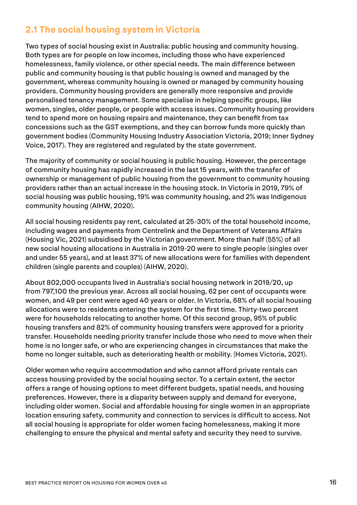#### **2.1 The social housing system in Victoria**

Two types of social housing exist in Australia: public housing and community housing. Both types are for people on low incomes, including those who have experienced homelessness, family violence, or other special needs. The main difference between public and community housing is that public housing is owned and managed by the government, whereas community housing is owned or managed by community housing providers. Community housing providers are generally more responsive and provide personalised tenancy management. Some specialise in helping specific groups, like women, singles, older people, or people with access issues. Community housing providers tend to spend more on housing repairs and maintenance, they can benefit from tax concessions such as the GST exemptions, and they can borrow funds more quickly than government bodies (Community Housing Industry Association Victoria, 2019; Inner Sydney Voice, 2017). They are registered and regulated by the state government.

The majority of community or social housing is public housing. However, the percentage of community housing has rapidly increased in the last 15 years, with the transfer of ownership or management of public housing from the government to community housing providers rather than an actual increase in the housing stock. In Victoria in 2019, 79% of social housing was public housing, 19% was community housing, and 2% was Indigenous community housing (AIHW, 2020).

All social housing residents pay rent, calculated at 25-30% of the total household income, including wages and payments from Centrelink and the Department of Veterans Affairs (Housing Vic, 2021) subsidised by the Victorian government. More than half (55%) of all new social housing allocations in Australia in 2019-20 were to single people (singles over and under 55 years), and at least 37% of new allocations were for families with dependent children (single parents and couples) (AIHW, 2020).

About 802,000 occupants lived in Australia's social housing network in 2019/20, up from 797,100 the previous year. Across all social housing, 62 per cent of occupants were women, and 49 per cent were aged 40 years or older. In Victoria, 68% of all social housing allocations were to residents entering the system for the first time. Thirty-two percent were for households relocating to another home. Of this second group, 95% of public housing transfers and 82% of community housing transfers were approved for a priority transfer. Households needing priority transfer include those who need to move when their home is no longer safe, or who are experiencing changes in circumstances that make the home no longer suitable, such as deteriorating health or mobility. (Homes Victoria, 2021).

Older women who require accommodation and who cannot afford private rentals can access housing provided by the social housing sector. To a certain extent, the sector offers a range of housing options to meet different budgets, spatial needs, and housing preferences. However, there is a disparity between supply and demand for everyone, including older women. Social and affordable housing for single women in an appropriate location ensuring safety, community and connection to services is difficult to access. Not all social housing is appropriate for older women facing homelessness, making it more challenging to ensure the physical and mental safety and security they need to survive.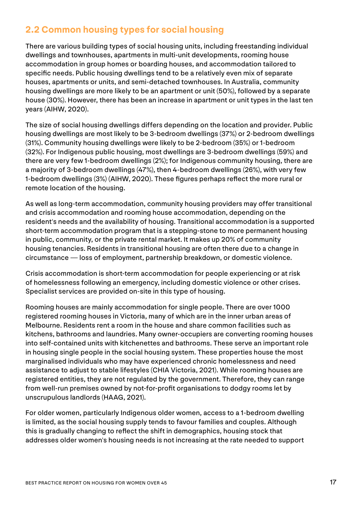#### **2.2 Common housing types for social housing**

There are various building types of social housing units, including freestanding individual dwellings and townhouses, apartments in multi-unit developments, rooming house accommodation in group homes or boarding houses, and accommodation tailored to specific needs. Public housing dwellings tend to be a relatively even mix of separate houses, apartments or units, and semi-detached townhouses. In Australia, community housing dwellings are more likely to be an apartment or unit (50%), followed by a separate house (30%). However, there has been an increase in apartment or unit types in the last ten years (AIHW, 2020).

The size of social housing dwellings differs depending on the location and provider. Public housing dwellings are most likely to be 3-bedroom dwellings (37%) or 2-bedroom dwellings (31%). Community housing dwellings were likely to be 2-bedroom (35%) or 1-bedroom (32%). For Indigenous public housing, most dwellings are 3-bedroom dwellings (59%) and there are very few 1-bedroom dwellings (2%); for Indigenous community housing, there are a majority of 3-bedroom dwellings (47%), then 4-bedroom dwellings (26%), with very few 1-bedroom dwellings (3%) (AIHW, 2020). These figures perhaps reflect the more rural or remote location of the housing.

As well as long-term accommodation, community housing providers may offer transitional and crisis accommodation and rooming house accommodation, depending on the resident's needs and the availability of housing. Transitional accommodation is a supported short-term accommodation program that is a stepping-stone to more permanent housing in public, community, or the private rental market. It makes up 20% of community housing tenancies. Residents in transitional housing are often there due to a change in circumstance — loss of employment, partnership breakdown, or domestic violence.

Crisis accommodation is short-term accommodation for people experiencing or at risk of homelessness following an emergency, including domestic violence or other crises. Specialist services are provided on-site in this type of housing.

Rooming houses are mainly accommodation for single people. There are over 1000 registered rooming houses in Victoria, many of which are in the inner urban areas of Melbourne. Residents rent a room in the house and share common facilities such as kitchens, bathrooms and laundries. Many owner-occupiers are converting rooming houses into self-contained units with kitchenettes and bathrooms. These serve an important role in housing single people in the social housing system. These properties house the most marginalised individuals who may have experienced chronic homelessness and need assistance to adjust to stable lifestyles (CHIA Victoria, 2021). While rooming houses are registered entities, they are not regulated by the government. Therefore, they can range from well-run premises owned by not-for-profit organisations to dodgy rooms let by unscrupulous landlords (HAAG, 2021).

For older women, particularly Indigenous older women, access to a 1-bedroom dwelling is limited, as the social housing supply tends to favour families and couples. Although this is gradually changing to reflect the shift in demographics, housing stock that addresses older women's housing needs is not increasing at the rate needed to support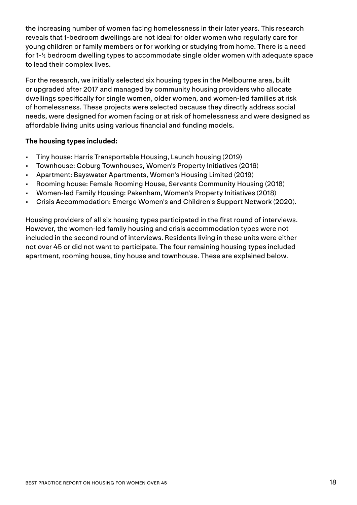the increasing number of women facing homelessness in their later years. This research reveals that 1-bedroom dwellings are not ideal for older women who regularly care for young children or family members or for working or studying from home. There is a need for 1-½ bedroom dwelling types to accommodate single older women with adequate space to lead their complex lives.

For the research, we initially selected six housing types in the Melbourne area, built or upgraded after 2017 and managed by community housing providers who allocate dwellings specifically for single women, older women, and women-led families at risk of homelessness. These projects were selected because they directly address social needs, were designed for women facing or at risk of homelessness and were designed as affordable living units using various financial and funding models.

#### **The housing types included:**

- Tiny house: Harris Transportable Housing, Launch housing (2019)
- Townhouse: Coburg Townhouses, Women's Property Initiatives (2016)
- Apartment: Bayswater Apartments, Women's Housing Limited (2019)
- Rooming house: Female Rooming House, Servants Community Housing (2018)
- Women-led Family Housing: Pakenham, Women's Property Initiatives (2018)
- Crisis Accommodation: Emerge Women's and Children's Support Network (2020).

Housing providers of all six housing types participated in the first round of interviews. However, the women-led family housing and crisis accommodation types were not included in the second round of interviews. Residents living in these units were either not over 45 or did not want to participate. The four remaining housing types included apartment, rooming house, tiny house and townhouse. These are explained below.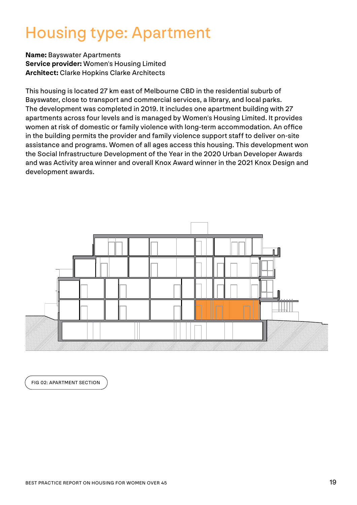#### Housing type: Apartment

**Name:** Bayswater Apartments **Service provider:** Women's Housing Limited **Architect:** Clarke Hopkins Clarke Architects

This housing is located 27 km east of Melbourne CBD in the residential suburb of Bayswater, close to transport and commercial services, a library, and local parks. The development was completed in 2019. It includes one apartment building with 27 apartments across four levels and is managed by Women's Housing Limited. It provides women at risk of domestic or family violence with long-term accommodation. An office in the building permits the provider and family violence support staff to deliver on-site assistance and programs. Women of all ages access this housing. This development won the Social Infrastructure Development of the Year in the 2020 Urban Developer Awards and was Activity area winner and overall Knox Award winner in the 2021 Knox Design and development awards.



FIG 02: APARTMENT SECTION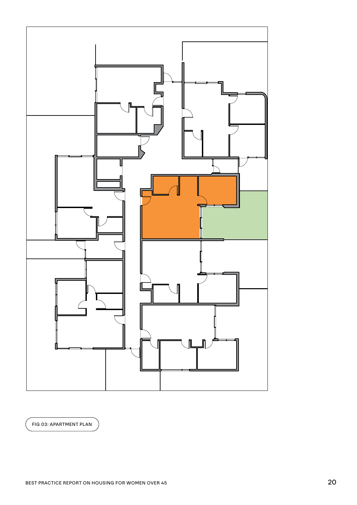

FIG 03: APARTMENT PLAN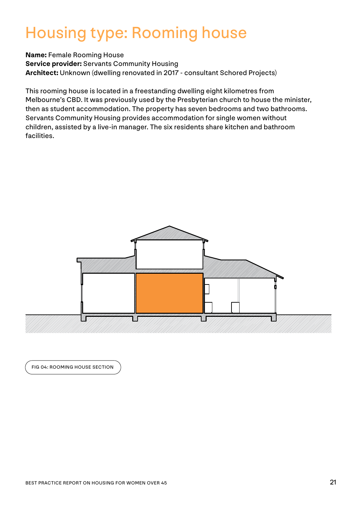#### Housing type: Rooming house

**Name:** Female Rooming House **Service provider:** Servants Community Housing **Architect:** Unknown (dwelling renovated in 2017 - consultant Schored Projects)

This rooming house is located in a freestanding dwelling eight kilometres from Melbourne's CBD. It was previously used by the Presbyterian church to house the minister, then as student accommodation. The property has seven bedrooms and two bathrooms. Servants Community Housing provides accommodation for single women without children, assisted by a live-in manager. The six residents share kitchen and bathroom facilities.



FIG 04: ROOMING HOUSE SECTION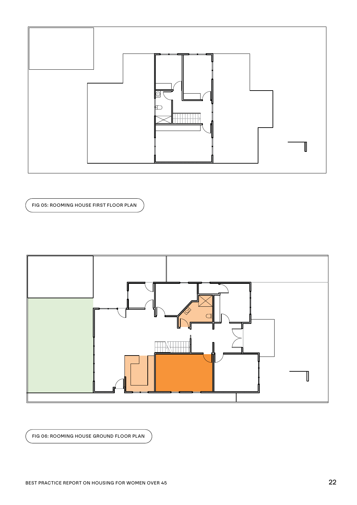

FIG 05: ROOMING HOUSE FIRST FLOOR PLAN



FIG 06: ROOMING HOUSE GROUND FLOOR PLAN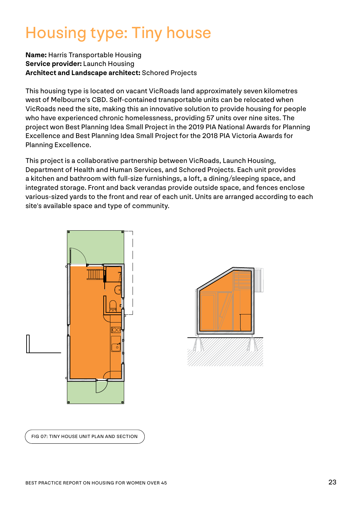#### Housing type: Tiny house

#### **Name:** Harris Transportable Housing **Service provider:** Launch Housing **Architect and Landscape architect:** Schored Projects

This housing type is located on vacant VicRoads land approximately seven kilometres west of Melbourne's CBD. Self-contained transportable units can be relocated when VicRoads need the site, making this an innovative solution to provide housing for people who have experienced chronic homelessness, providing 57 units over nine sites. The project won Best Planning Idea Small Project in the 2019 PIA National Awards for Planning Excellence and Best Planning Idea Small Project for the 2018 PIA Victoria Awards for Planning Excellence.

This project is a collaborative partnership between VicRoads, Launch Housing, Department of Health and Human Services, and Schored Projects. Each unit provides a kitchen and bathroom with full-size furnishings, a loft, a dining/sleeping space, and integrated storage. Front and back verandas provide outside space, and fences enclose various-sized yards to the front and rear of each unit. Units are arranged according to each site's available space and type of community.





FIG 07: TINY HOUSE UNIT PLAN AND SECTION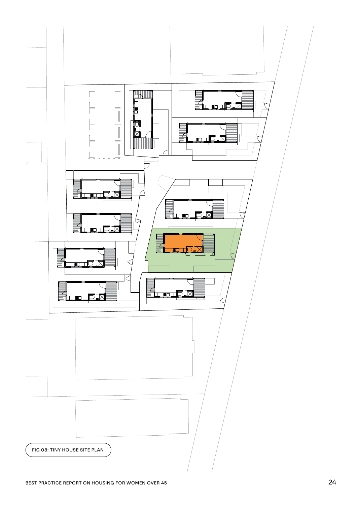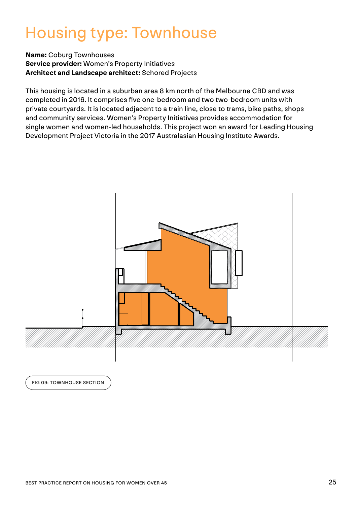#### Housing type: Townhouse

**Name:** Coburg Townhouses **Service provider:** Women's Property Initiatives **Architect and Landscape architect:** Schored Projects

This housing is located in a suburban area 8 km north of the Melbourne CBD and was completed in 2016. It comprises five one-bedroom and two two-bedroom units with private courtyards. It is located adjacent to a train line, close to trams, bike paths, shops and community services. Women's Property Initiatives provides accommodation for single women and women-led households. This project won an award for Leading Housing Development Project Victoria in the 2017 Australasian Housing Institute Awards.



FIG 09: TOWNHOUSE SECTION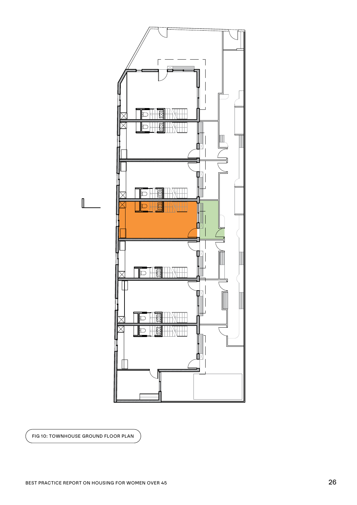

FIG 10: TOWNHOUSE GROUND FLOOR PLAN

 $\mathbb I$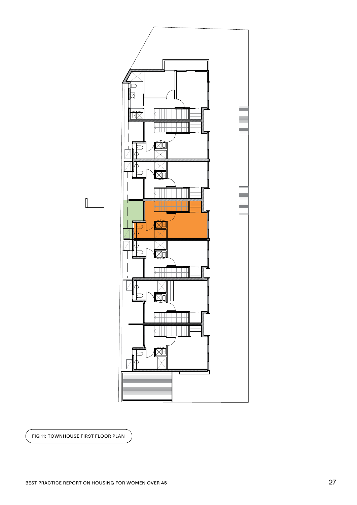

FIG 11: TOWNHOUSE FIRST FLOOR PLAN

 $\mathbb{I}$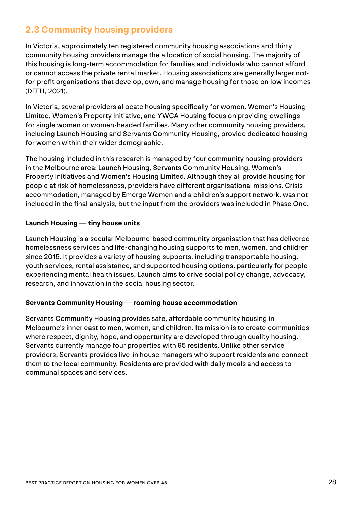#### **2.3 Community housing providers**

In Victoria, approximately ten registered community housing associations and thirty community housing providers manage the allocation of social housing. The majority of this housing is long-term accommodation for families and individuals who cannot afford or cannot access the private rental market. Housing associations are generally larger notfor-profit organisations that develop, own, and manage housing for those on low incomes (DFFH, 2021).

In Victoria, several providers allocate housing specifically for women. Women's Housing Limited, Women's Property Initiative, and YWCA Housing focus on providing dwellings for single women or women-headed families. Many other community housing providers, including Launch Housing and Servants Community Housing, provide dedicated housing for women within their wider demographic.

The housing included in this research is managed by four community housing providers in the Melbourne area: Launch Housing, Servants Community Housing, Women's Property Initiatives and Women's Housing Limited. Although they all provide housing for people at risk of homelessness, providers have different organisational missions. Crisis accommodation, managed by Emerge Women and a children's support network, was not included in the final analysis, but the input from the providers was included in Phase One.

#### **Launch Housing — tiny house units**

Launch Housing is a secular Melbourne-based community organisation that has delivered homelessness services and life-changing housing supports to men, women, and children since 2015. It provides a variety of housing supports, including transportable housing, youth services, rental assistance, and supported housing options, particularly for people experiencing mental health issues. Launch aims to drive social policy change, advocacy, research, and innovation in the social housing sector.

#### **Servants Community Housing — rooming house accommodation**

Servants Community Housing provides safe, affordable community housing in Melbourne's inner east to men, women, and children. Its mission is to create communities where respect, dignity, hope, and opportunity are developed through quality housing. Servants currently manage four properties with 95 residents. Unlike other service providers, Servants provides live-in house managers who support residents and connect them to the local community. Residents are provided with daily meals and access to communal spaces and services.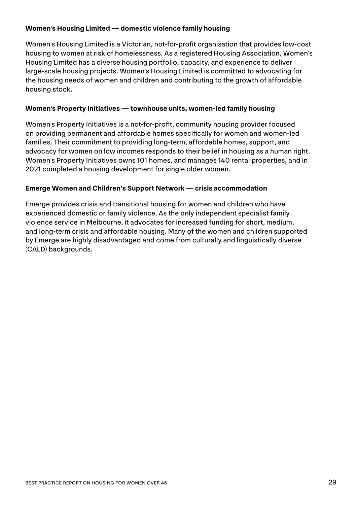#### **Women's Housing Limited — domestic violence family housing**

Women's Housing Limited is a Victorian, not-for-profit organisation that provides low-cost housing to women at risk of homelessness. As a registered Housing Association, Women's Housing Limited has a diverse housing portfolio, capacity, and experience to deliver large-scale housing projects. Women's Housing Limited is committed to advocating for the housing needs of women and children and contributing to the growth of affordable housing stock.

#### **Women's Property Initiatives — townhouse units, women-led family housing**

Women's Property Initiatives is a not-for-profit, community housing provider focused on providing permanent and affordable homes specifically for women and women-led families. Their commitment to providing long-term, affordable homes, support, and advocacy for women on low incomes responds to their belief in housing as a human right. Women's Property Initiatives owns 101 homes, and manages 140 rental properties, and in 2021 completed a housing development for single older women.

#### **Emerge Women and Children's Support Network — crisis accommodation**

Emerge provides crisis and transitional housing for women and children who have experienced domestic or family violence. As the only independent specialist family violence service in Melbourne, it advocates for increased funding for short, medium, and long-term crisis and affordable housing. Many of the women and children supported by Emerge are highly disadvantaged and come from culturally and linguistically diverse (CALD) backgrounds.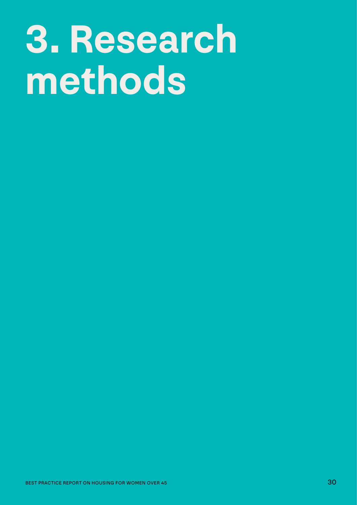# **3. Research methods**

BEST PRACTICE REPORT ON HOUSING FOR WOMEN OVER 45 30 SECOND DESCRIPTION OF THE REPORT ON HOUSING FOR WOMEN OVER 45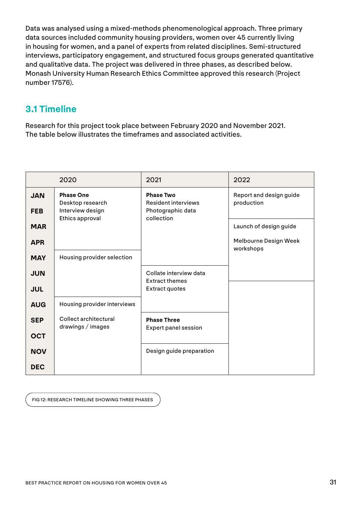Data was analysed using a mixed-methods phenomenological approach. Three primary data sources included community housing providers, women over 45 currently living in housing for women, and a panel of experts from related disciplines. Semi-structured interviews, participatory engagement, and structured focus groups generated quantitative and qualitative data. The project was delivered in three phases, as described below. Monash University Human Research Ethics Committee approved this research (Project number 17576).

#### **3.1 Timeline**

Research for this project took place between February 2020 and November 2021. The table below illustrates the timeframes and associated activities.

|                          | 2020                                                     | 2021                                                                | 2022                                  |
|--------------------------|----------------------------------------------------------|---------------------------------------------------------------------|---------------------------------------|
| <b>JAN</b><br><b>FEB</b> | <b>Phase One</b><br>Desktop research<br>Interview design | <b>Phase Two</b><br><b>Resident interviews</b><br>Photographic data | Report and design guide<br>production |
| <b>MAR</b>               | Ethics approval                                          | collection                                                          | Launch of design guide                |
| <b>APR</b><br><b>MAY</b> | Housing provider selection                               |                                                                     | Melbourne Design Week<br>workshops    |
| <b>JUN</b>               |                                                          | Collate interview data<br><b>Extract themes</b>                     |                                       |
| <b>JUL</b>               |                                                          | <b>Extract quotes</b>                                               |                                       |
| <b>AUG</b>               | Housing provider interviews                              |                                                                     |                                       |
| <b>SEP</b>               | Collect architectural<br>drawings / images               | <b>Phase Three</b><br><b>Expert panel session</b>                   |                                       |
| <b>OCT</b>               |                                                          |                                                                     |                                       |
| <b>NOV</b>               |                                                          | Design guide preparation                                            |                                       |
| <b>DEC</b>               |                                                          |                                                                     |                                       |

FIG 12: RESEARCH TIMELINE SHOWING THREE PHASES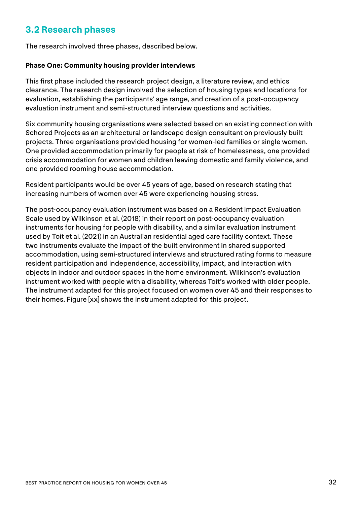#### **3.2 Research phases**

The research involved three phases, described below.

#### **Phase One: Community housing provider interviews**

This first phase included the research project design, a literature review, and ethics clearance. The research design involved the selection of housing types and locations for evaluation, establishing the participants' age range, and creation of a post-occupancy evaluation instrument and semi-structured interview questions and activities.

Six community housing organisations were selected based on an existing connection with Schored Projects as an architectural or landscape design consultant on previously built projects. Three organisations provided housing for women-led families or single women. One provided accommodation primarily for people at risk of homelessness, one provided crisis accommodation for women and children leaving domestic and family violence, and one provided rooming house accommodation.

Resident participants would be over 45 years of age, based on research stating that increasing numbers of women over 45 were experiencing housing stress.

The post-occupancy evaluation instrument was based on a Resident Impact Evaluation Scale used by Wilkinson et al. (2018) in their report on post-occupancy evaluation instruments for housing for people with disability, and a similar evaluation instrument used by Toit et al. (2021) in an Australian residential aged care facility context. These two instruments evaluate the impact of the built environment in shared supported accommodation, using semi-structured interviews and structured rating forms to measure resident participation and independence, accessibility, impact, and interaction with objects in indoor and outdoor spaces in the home environment. Wilkinson's evaluation instrument worked with people with a disability, whereas Toit's worked with older people. The instrument adapted for this project focused on women over 45 and their responses to their homes. Figure [xx] shows the instrument adapted for this project.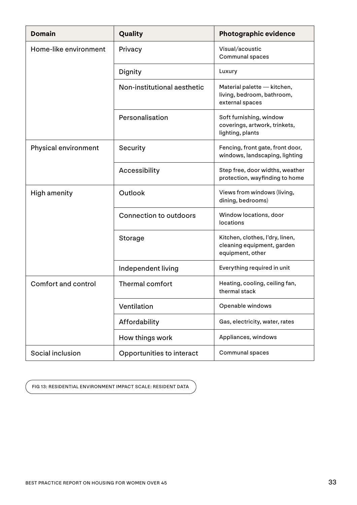| <b>Domain</b>              | Quality                       | <b>Photographic evidence</b>                                                      |
|----------------------------|-------------------------------|-----------------------------------------------------------------------------------|
| Home-like environment      | Privacy                       | Visual/acoustic<br>Communal spaces                                                |
|                            | Dignity                       | Luxury                                                                            |
|                            | Non-institutional aesthetic   | Material palette - kitchen,<br>living, bedroom, bathroom,<br>external spaces      |
|                            | Personalisation               | Soft furnishing, window<br>coverings, artwork, trinkets,<br>lighting, plants      |
| Physical environment       | Security                      | Fencing, front gate, front door,<br>windows, landscaping, lighting                |
|                            | Accessibility                 | Step free, door widths, weather<br>protection, wayfinding to home                 |
| High amenity               | Outlook                       | Views from windows (living,<br>dining, bedrooms)                                  |
|                            | <b>Connection to outdoors</b> | Window locations, door<br>locations                                               |
|                            | Storage                       | Kitchen, clothes, l'dry, linen,<br>cleaning equipment, garden<br>equipment, other |
|                            | Independent living            | Everything required in unit                                                       |
| <b>Comfort and control</b> | Thermal comfort               | Heating, cooling, ceiling fan,<br>thermal stack                                   |
|                            | Ventilation                   | Openable windows                                                                  |
|                            | Affordability                 | Gas, electricity, water, rates                                                    |
|                            | How things work               | Appliances, windows                                                               |
| Social inclusion           | Opportunities to interact     | <b>Communal spaces</b>                                                            |

FIG 13: RESIDENTIAL ENVIRONMENT IMPACT SCALE: RESIDENT DATA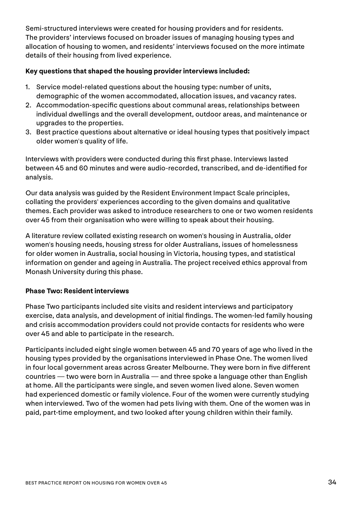Semi-structured interviews were created for housing providers and for residents. The providers' interviews focused on broader issues of managing housing types and allocation of housing to women, and residents' interviews focused on the more intimate details of their housing from lived experience.

#### **Key questions that shaped the housing provider interviews included:**

- 1. Service model-related questions about the housing type: number of units, demographic of the women accommodated, allocation issues, and vacancy rates.
- 2. Accommodation-specific questions about communal areas, relationships between individual dwellings and the overall development, outdoor areas, and maintenance or upgrades to the properties.
- 3. Best practice questions about alternative or ideal housing types that positively impact older women's quality of life.

Interviews with providers were conducted during this first phase. Interviews lasted between 45 and 60 minutes and were audio-recorded, transcribed, and de-identified for analysis.

Our data analysis was guided by the Resident Environment Impact Scale principles, collating the providers' experiences according to the given domains and qualitative themes. Each provider was asked to introduce researchers to one or two women residents over 45 from their organisation who were willing to speak about their housing.

A literature review collated existing research on women's housing in Australia, older women's housing needs, housing stress for older Australians, issues of homelessness for older women in Australia, social housing in Victoria, housing types, and statistical information on gender and ageing in Australia. The project received ethics approval from Monash University during this phase.

#### **Phase Two: Resident interviews**

Phase Two participants included site visits and resident interviews and participatory exercise, data analysis, and development of initial findings. The women-led family housing and crisis accommodation providers could not provide contacts for residents who were over 45 and able to participate in the research.

Participants included eight single women between 45 and 70 years of age who lived in the housing types provided by the organisations interviewed in Phase One. The women lived in four local government areas across Greater Melbourne. They were born in five different countries — two were born in Australia — and three spoke a language other than English at home. All the participants were single, and seven women lived alone. Seven women had experienced domestic or family violence. Four of the women were currently studying when interviewed. Two of the women had pets living with them. One of the women was in paid, part-time employment, and two looked after young children within their family.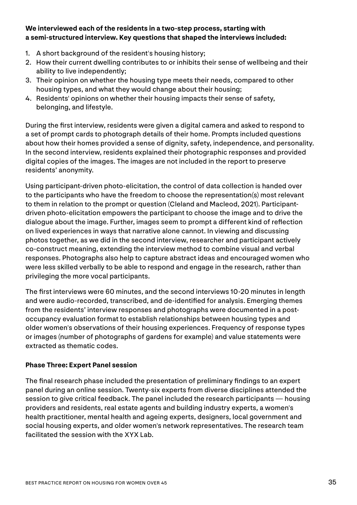#### **We interviewed each of the residents in a two-step process, starting with a semi-structured interview. Key questions that shaped the interviews included:**

- 1. A short background of the resident's housing history;
- 2. How their current dwelling contributes to or inhibits their sense of wellbeing and their ability to live independently;
- 3. Their opinion on whether the housing type meets their needs, compared to other housing types, and what they would change about their housing;
- 4. Residents' opinions on whether their housing impacts their sense of safety, belonging, and lifestyle.

During the first interview, residents were given a digital camera and asked to respond to a set of prompt cards to photograph details of their home. Prompts included questions about how their homes provided a sense of dignity, safety, independence, and personality. In the second interview, residents explained their photographic responses and provided digital copies of the images. The images are not included in the report to preserve residents' anonymity.

Using participant-driven photo-elicitation, the control of data collection is handed over to the participants who have the freedom to choose the representation(s) most relevant to them in relation to the prompt or question (Cleland and Macleod, 2021). Participantdriven photo-elicitation empowers the participant to choose the image and to drive the dialogue about the image. Further, images seem to prompt a different kind of reflection on lived experiences in ways that narrative alone cannot. In viewing and discussing photos together, as we did in the second interview, researcher and participant actively co-construct meaning, extending the interview method to combine visual and verbal responses. Photographs also help to capture abstract ideas and encouraged women who were less skilled verbally to be able to respond and engage in the research, rather than privileging the more vocal participants.

The first interviews were 60 minutes, and the second interviews 10-20 minutes in length and were audio-recorded, transcribed, and de-identified for analysis. Emerging themes from the residents' interview responses and photographs were documented in a postoccupancy evaluation format to establish relationships between housing types and older women's observations of their housing experiences. Frequency of response types or images (number of photographs of gardens for example) and value statements were extracted as thematic codes.

#### **Phase Three: Expert Panel session**

The final research phase included the presentation of preliminary findings to an expert panel during an online session. Twenty-six experts from diverse disciplines attended the session to give critical feedback. The panel included the research participants — housing providers and residents, real estate agents and building industry experts, a women's health practitioner, mental health and ageing experts, designers, local government and social housing experts, and older women's network representatives. The research team facilitated the session with the XYX Lab.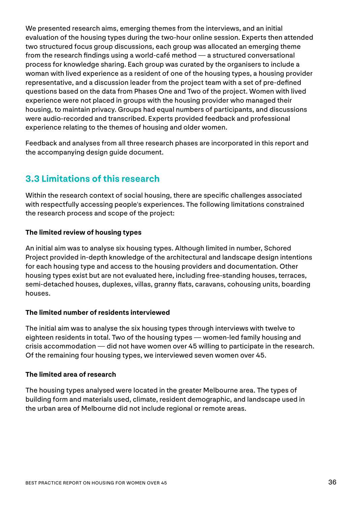We presented research aims, emerging themes from the interviews, and an initial evaluation of the housing types during the two-hour online session. Experts then attended two structured focus group discussions, each group was allocated an emerging theme from the research findings using a world-café method — a structured conversational process for knowledge sharing. Each group was curated by the organisers to include a woman with lived experience as a resident of one of the housing types, a housing provider representative, and a discussion leader from the project team with a set of pre-defined questions based on the data from Phases One and Two of the project. Women with lived experience were not placed in groups with the housing provider who managed their housing, to maintain privacy. Groups had equal numbers of participants, and discussions were audio-recorded and transcribed. Experts provided feedback and professional experience relating to the themes of housing and older women.

Feedback and analyses from all three research phases are incorporated in this report and the accompanying design guide document.

#### **3.3 Limitations of this research**

Within the research context of social housing, there are specific challenges associated with respectfully accessing people's experiences. The following limitations constrained the research process and scope of the project:

#### **The limited review of housing types**

An initial aim was to analyse six housing types. Although limited in number, Schored Project provided in-depth knowledge of the architectural and landscape design intentions for each housing type and access to the housing providers and documentation. Other housing types exist but are not evaluated here, including free-standing houses, terraces, semi-detached houses, duplexes, villas, granny flats, caravans, cohousing units, boarding houses.

#### **The limited number of residents interviewed**

The initial aim was to analyse the six housing types through interviews with twelve to eighteen residents in total. Two of the housing types — women-led family housing and crisis accommodation — did not have women over 45 willing to participate in the research. Of the remaining four housing types, we interviewed seven women over 45.

#### **The limited area of research**

The housing types analysed were located in the greater Melbourne area. The types of building form and materials used, climate, resident demographic, and landscape used in the urban area of Melbourne did not include regional or remote areas.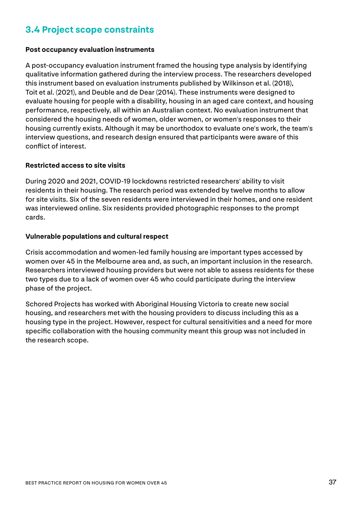#### **3.4 Project scope constraints**

#### **Post occupancy evaluation instruments**

A post-occupancy evaluation instrument framed the housing type analysis by identifying qualitative information gathered during the interview process. The researchers developed this instrument based on evaluation instruments published by Wilkinson et al. (2018), Toit et al. (2021), and Deuble and de Dear (2014). These instruments were designed to evaluate housing for people with a disability, housing in an aged care context, and housing performance, respectively, all within an Australian context. No evaluation instrument that considered the housing needs of women, older women, or women's responses to their housing currently exists. Although it may be unorthodox to evaluate one's work, the team's interview questions, and research design ensured that participants were aware of this conflict of interest.

#### **Restricted access to site visits**

During 2020 and 2021, COVID-19 lockdowns restricted researchers' ability to visit residents in their housing. The research period was extended by twelve months to allow for site visits. Six of the seven residents were interviewed in their homes, and one resident was interviewed online. Six residents provided photographic responses to the prompt cards.

#### **Vulnerable populations and cultural respect**

Crisis accommodation and women-led family housing are important types accessed by women over 45 in the Melbourne area and, as such, an important inclusion in the research. Researchers interviewed housing providers but were not able to assess residents for these two types due to a lack of women over 45 who could participate during the interview phase of the project.

Schored Projects has worked with Aboriginal Housing Victoria to create new social housing, and researchers met with the housing providers to discuss including this as a housing type in the project. However, respect for cultural sensitivities and a need for more specific collaboration with the housing community meant this group was not included in the research scope.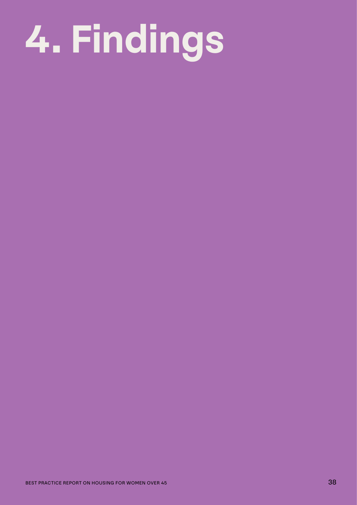# **4. Findings**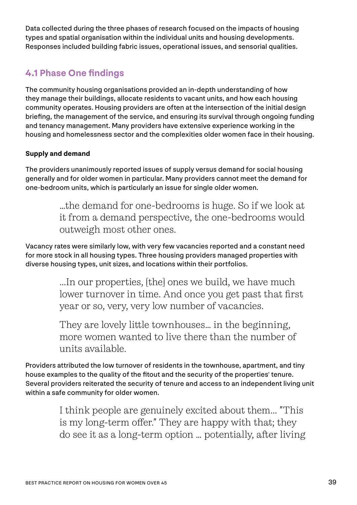Data collected during the three phases of research focused on the impacts of housing types and spatial organisation within the individual units and housing developments. Responses included building fabric issues, operational issues, and sensorial qualities.

#### **4.1 Phase One findings**

The community housing organisations provided an in-depth understanding of how they manage their buildings, allocate residents to vacant units, and how each housing community operates. Housing providers are often at the intersection of the initial design briefing, the management of the service, and ensuring its survival through ongoing funding and tenancy management. Many providers have extensive experience working in the housing and homelessness sector and the complexities older women face in their housing.

#### **Supply and demand**

The providers unanimously reported issues of supply versus demand for social housing generally and for older women in particular. Many providers cannot meet the demand for one-bedroom units, which is particularly an issue for single older women.

> …the demand for one-bedrooms is huge. So if we look at it from a demand perspective, the one-bedrooms would outweigh most other ones.

Vacancy rates were similarly low, with very few vacancies reported and a constant need for more stock in all housing types. Three housing providers managed properties with diverse housing types, unit sizes, and locations within their portfolios.

> ...In our properties, [the] ones we build, we have much lower turnover in time. And once you get past that first year or so, very, very low number of vacancies.

They are lovely little townhouses… in the beginning, more women wanted to live there than the number of units available.

Providers attributed the low turnover of residents in the townhouse, apartment, and tiny house examples to the quality of the fitout and the security of the properties' tenure. Several providers reiterated the security of tenure and access to an independent living unit within a safe community for older women.

> I think people are genuinely excited about them... "This is my long-term offer." They are happy with that; they do see it as a long-term option … potentially, after living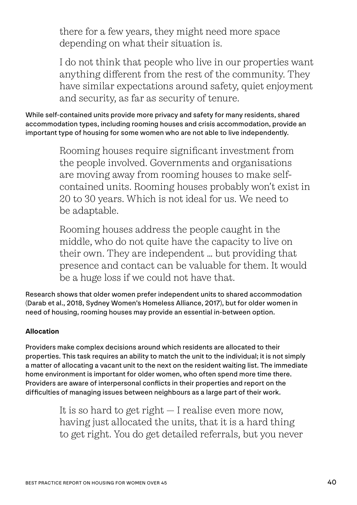there for a few years, they might need more space depending on what their situation is.

I do not think that people who live in our properties want anything different from the rest of the community. They have similar expectations around safety, quiet enjoyment and security, as far as security of tenure.

While self-contained units provide more privacy and safety for many residents, shared accommodation types, including rooming houses and crisis accommodation, provide an important type of housing for some women who are not able to live independently.

> Rooming houses require significant investment from the people involved. Governments and organisations are moving away from rooming houses to make selfcontained units. Rooming houses probably won't exist in 20 to 30 years. Which is not ideal for us. We need to be adaptable.

> Rooming houses address the people caught in the middle, who do not quite have the capacity to live on their own. They are independent … but providing that presence and contact can be valuable for them. It would be a huge loss if we could not have that.

Research shows that older women prefer independent units to shared accommodation (Darab et al., 2018, Sydney Women's Homeless Alliance, 2017), but for older women in need of housing, rooming houses may provide an essential in-between option.

#### **Allocation**

Providers make complex decisions around which residents are allocated to their properties. This task requires an ability to match the unit to the individual; it is not simply a matter of allocating a vacant unit to the next on the resident waiting list. The immediate home environment is important for older women, who often spend more time there. Providers are aware of interpersonal conflicts in their properties and report on the difficulties of managing issues between neighbours as a large part of their work.

> It is so hard to get right — I realise even more now, having just allocated the units, that it is a hard thing to get right. You do get detailed referrals, but you never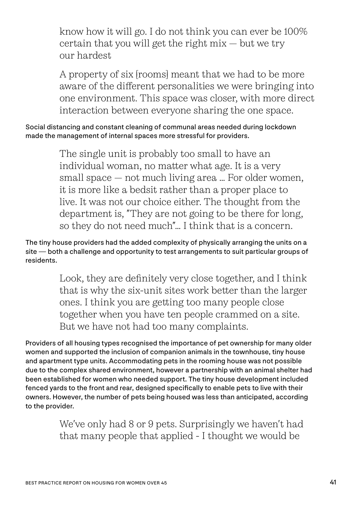know how it will go. I do not think you can ever be 100% certain that you will get the right mix — but we try our hardest

A property of six [rooms] meant that we had to be more aware of the different personalities we were bringing into one environment. This space was closer, with more direct interaction between everyone sharing the one space.

Social distancing and constant cleaning of communal areas needed during lockdown made the management of internal spaces more stressful for providers.

> The single unit is probably too small to have an individual woman, no matter what age. It is a very small space — not much living area … For older women, it is more like a bedsit rather than a proper place to live. It was not our choice either. The thought from the department is, "They are not going to be there for long, so they do not need much"… I think that is a concern.

The tiny house providers had the added complexity of physically arranging the units on a site — both a challenge and opportunity to test arrangements to suit particular groups of residents.

> Look, they are definitely very close together, and I think that is why the six-unit sites work better than the larger ones. I think you are getting too many people close together when you have ten people crammed on a site. But we have not had too many complaints.

Providers of all housing types recognised the importance of pet ownership for many older women and supported the inclusion of companion animals in the townhouse, tiny house and apartment type units. Accommodating pets in the rooming house was not possible due to the complex shared environment, however a partnership with an animal shelter had been established for women who needed support. The tiny house development included fenced yards to the front and rear, designed specifically to enable pets to live with their owners. However, the number of pets being housed was less than anticipated, according to the provider.

> We've only had 8 or 9 pets. Surprisingly we haven't had that many people that applied - I thought we would be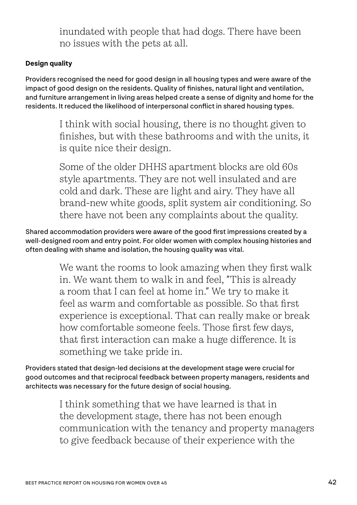inundated with people that had dogs. There have been no issues with the pets at all.

#### **Design quality**

Providers recognised the need for good design in all housing types and were aware of the impact of good design on the residents. Quality of finishes, natural light and ventilation, and furniture arrangement in living areas helped create a sense of dignity and home for the residents. It reduced the likelihood of interpersonal conflict in shared housing types.

> I think with social housing, there is no thought given to finishes, but with these bathrooms and with the units, it is quite nice their design.

> Some of the older DHHS apartment blocks are old 60s style apartments. They are not well insulated and are cold and dark. These are light and airy. They have all brand-new white goods, split system air conditioning. So there have not been any complaints about the quality.

Shared accommodation providers were aware of the good first impressions created by a well-designed room and entry point. For older women with complex housing histories and often dealing with shame and isolation, the housing quality was vital.

> We want the rooms to look amazing when they first walk in. We want them to walk in and feel, "This is already a room that I can feel at home in." We try to make it feel as warm and comfortable as possible. So that first experience is exceptional. That can really make or break how comfortable someone feels. Those first few days, that first interaction can make a huge difference. It is something we take pride in.

Providers stated that design-led decisions at the development stage were crucial for good outcomes and that reciprocal feedback between property managers, residents and architects was necessary for the future design of social housing.

> I think something that we have learned is that in the development stage, there has not been enough communication with the tenancy and property managers to give feedback because of their experience with the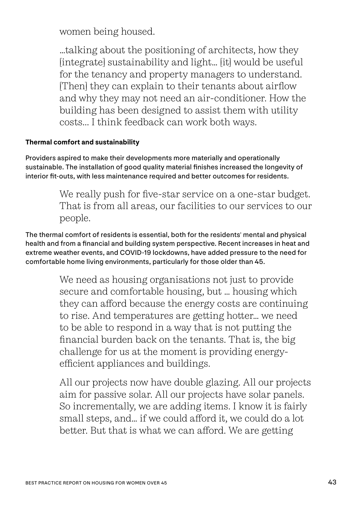women being housed.

…talking about the positioning of architects, how they [integrate] sustainability and light… [it] would be useful for the tenancy and property managers to understand. [Then] they can explain to their tenants about airflow and why they may not need an air-conditioner. How the building has been designed to assist them with utility costs... I think feedback can work both ways.

#### **Thermal comfort and sustainability**

Providers aspired to make their developments more materially and operationally sustainable. The installation of good quality material finishes increased the longevity of interior fit-outs, with less maintenance required and better outcomes for residents.

> We really push for five-star service on a one-star budget. That is from all areas, our facilities to our services to our people.

The thermal comfort of residents is essential, both for the residents' mental and physical health and from a financial and building system perspective. Recent increases in heat and extreme weather events, and COVID-19 lockdowns, have added pressure to the need for comfortable home living environments, particularly for those older than 45.

> We need as housing organisations not just to provide secure and comfortable housing, but … housing which they can afford because the energy costs are continuing to rise. And temperatures are getting hotter… we need to be able to respond in a way that is not putting the financial burden back on the tenants. That is, the big challenge for us at the moment is providing energyefficient appliances and buildings.

All our projects now have double glazing. All our projects aim for passive solar. All our projects have solar panels. So incrementally, we are adding items. I know it is fairly small steps, and… if we could afford it, we could do a lot better. But that is what we can afford. We are getting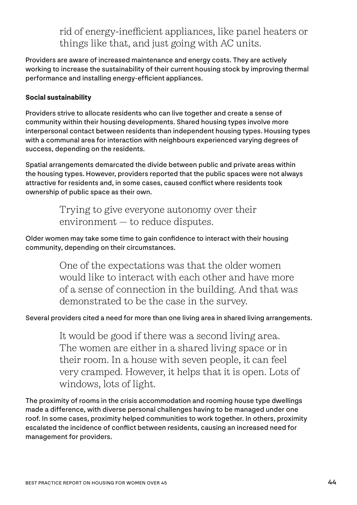#### rid of energy-inefficient appliances, like panel heaters or things like that, and just going with AC units.

Providers are aware of increased maintenance and energy costs. They are actively working to increase the sustainability of their current housing stock by improving thermal performance and installing energy-efficient appliances.

#### **Social sustainability**

Providers strive to allocate residents who can live together and create a sense of community within their housing developments. Shared housing types involve more interpersonal contact between residents than independent housing types. Housing types with a communal area for interaction with neighbours experienced varying degrees of success, depending on the residents.

Spatial arrangements demarcated the divide between public and private areas within the housing types. However, providers reported that the public spaces were not always attractive for residents and, in some cases, caused conflict where residents took ownership of public space as their own.

> Trying to give everyone autonomy over their environment — to reduce disputes.

Older women may take some time to gain confidence to interact with their housing community, depending on their circumstances.

> One of the expectations was that the older women would like to interact with each other and have more of a sense of connection in the building. And that was demonstrated to be the case in the survey.

#### Several providers cited a need for more than one living area in shared living arrangements.

It would be good if there was a second living area. The women are either in a shared living space or in their room. In a house with seven people, it can feel very cramped. However, it helps that it is open. Lots of windows, lots of light.

The proximity of rooms in the crisis accommodation and rooming house type dwellings made a difference, with diverse personal challenges having to be managed under one roof. In some cases, proximity helped communities to work together. In others, proximity escalated the incidence of conflict between residents, causing an increased need for management for providers.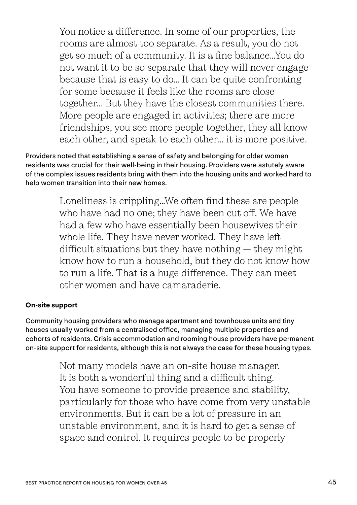You notice a difference. In some of our properties, the rooms are almost too separate. As a result, you do not get so much of a community. It is a fine balance…You do not want it to be so separate that they will never engage because that is easy to do… It can be quite confronting for some because it feels like the rooms are close together... But they have the closest communities there. More people are engaged in activities; there are more friendships, you see more people together, they all know each other, and speak to each other... it is more positive.

Providers noted that establishing a sense of safety and belonging for older women residents was crucial for their well-being in their housing. Providers were astutely aware of the complex issues residents bring with them into the housing units and worked hard to help women transition into their new homes.

> Loneliness is crippling...We often find these are people who have had no one; they have been cut off. We have had a few who have essentially been housewives their whole life. They have never worked. They have left difficult situations but they have nothing — they might know how to run a household, but they do not know how to run a life. That is a huge difference. They can meet other women and have camaraderie.

#### **On-site support**

Community housing providers who manage apartment and townhouse units and tiny houses usually worked from a centralised office, managing multiple properties and cohorts of residents. Crisis accommodation and rooming house providers have permanent on-site support for residents, although this is not always the case for these housing types.

> Not many models have an on-site house manager. It is both a wonderful thing and a difficult thing. You have someone to provide presence and stability, particularly for those who have come from very unstable environments. But it can be a lot of pressure in an unstable environment, and it is hard to get a sense of space and control. It requires people to be properly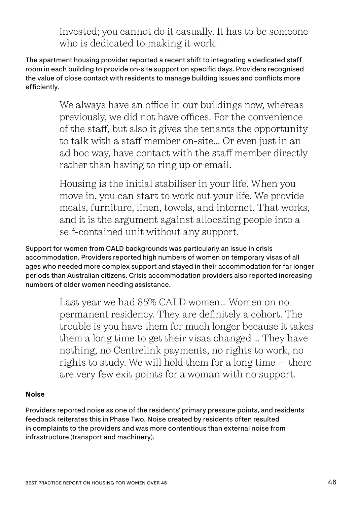invested; you cannot do it casually. It has to be someone who is dedicated to making it work.

The apartment housing provider reported a recent shift to integrating a dedicated staff room in each building to provide on-site support on specific days. Providers recognised the value of close contact with residents to manage building issues and conflicts more efficiently.

> We always have an office in our buildings now, whereas previously, we did not have offices. For the convenience of the staff, but also it gives the tenants the opportunity to talk with a staff member on-site... Or even just in an ad hoc way, have contact with the staff member directly rather than having to ring up or email.

> Housing is the initial stabiliser in your life. When you move in, you can start to work out your life. We provide meals, furniture, linen, towels, and internet. That works, and it is the argument against allocating people into a self-contained unit without any support.

Support for women from CALD backgrounds was particularly an issue in crisis accommodation. Providers reported high numbers of women on temporary visas of all ages who needed more complex support and stayed in their accommodation for far longer periods than Australian citizens. Crisis accommodation providers also reported increasing numbers of older women needing assistance.

> Last year we had 85% CALD women… Women on no permanent residency. They are definitely a cohort. The trouble is you have them for much longer because it takes them a long time to get their visas changed … They have nothing, no Centrelink payments, no rights to work, no rights to study. We will hold them for a long time — there are very few exit points for a woman with no support.

#### **Noise**

Providers reported noise as one of the residents' primary pressure points, and residents' feedback reiterates this in Phase Two. Noise created by residents often resulted in complaints to the providers and was more contentious than external noise from infrastructure (transport and machinery).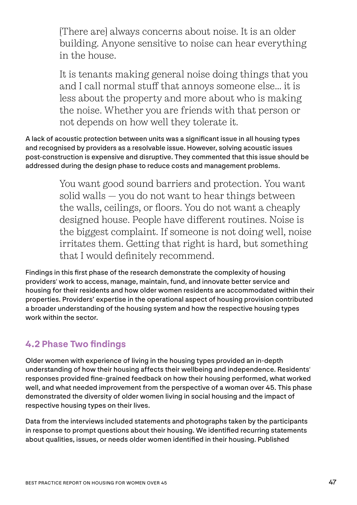[There are] always concerns about noise. It is an older building. Anyone sensitive to noise can hear everything in the house.

It is tenants making general noise doing things that you and I call normal stuff that annoys someone else... it is less about the property and more about who is making the noise. Whether you are friends with that person or not depends on how well they tolerate it.

A lack of acoustic protection between units was a significant issue in all housing types and recognised by providers as a resolvable issue. However, solving acoustic issues post-construction is expensive and disruptive. They commented that this issue should be addressed during the design phase to reduce costs and management problems.

> You want good sound barriers and protection. You want solid walls — you do not want to hear things between the walls, ceilings, or floors. You do not want a cheaply designed house. People have different routines. Noise is the biggest complaint. If someone is not doing well, noise irritates them. Getting that right is hard, but something that I would definitely recommend.

Findings in this first phase of the research demonstrate the complexity of housing providers' work to access, manage, maintain, fund, and innovate better service and housing for their residents and how older women residents are accommodated within their properties. Providers' expertise in the operational aspect of housing provision contributed a broader understanding of the housing system and how the respective housing types work within the sector.

#### **4.2 Phase Two findings**

Older women with experience of living in the housing types provided an in-depth understanding of how their housing affects their wellbeing and independence. Residents' responses provided fine-grained feedback on how their housing performed, what worked well, and what needed improvement from the perspective of a woman over 45. This phase demonstrated the diversity of older women living in social housing and the impact of respective housing types on their lives.

Data from the interviews included statements and photographs taken by the participants in response to prompt questions about their housing. We identified recurring statements about qualities, issues, or needs older women identified in their housing. Published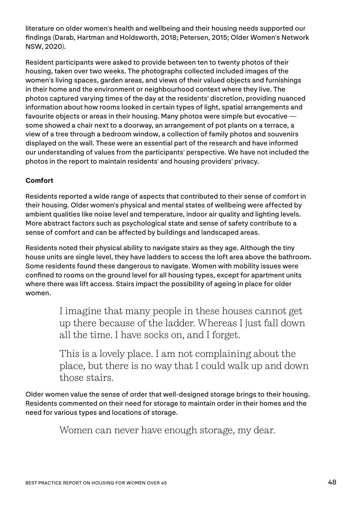literature on older women's health and wellbeing and their housing needs supported our findings (Darab, Hartman and Holdsworth, 2018; Petersen, 2015; Older Women's Network NSW, 2020).

Resident participants were asked to provide between ten to twenty photos of their housing, taken over two weeks. The photographs collected included images of the women's living spaces, garden areas, and views of their valued objects and furnishings in their home and the environment or neighbourhood context where they live. The photos captured varying times of the day at the residents' discretion, providing nuanced information about how rooms looked in certain types of light, spatial arrangements and favourite objects or areas in their housing. Many photos were simple but evocative some showed a chair next to a doorway, an arrangement of pot plants on a terrace, a view of a tree through a bedroom window, a collection of family photos and souvenirs displayed on the wall. These were an essential part of the research and have informed our understanding of values from the participants' perspective. We have not included the photos in the report to maintain residents' and housing providers' privacy.

#### **Comfort**

Residents reported a wide range of aspects that contributed to their sense of comfort in their housing. Older women's physical and mental states of wellbeing were affected by ambient qualities like noise level and temperature, indoor air quality and lighting levels. More abstract factors such as psychological state and sense of safety contribute to a sense of comfort and can be affected by buildings and landscaped areas.

Residents noted their physical ability to navigate stairs as they age. Although the tiny house units are single level, they have ladders to access the loft area above the bathroom. Some residents found these dangerous to navigate. Women with mobility issues were confined to rooms on the ground level for all housing types, except for apartment units where there was lift access. Stairs impact the possibility of ageing in place for older women.

> I imagine that many people in these houses cannot get up there because of the ladder. Whereas I just fall down all the time. I have socks on, and I forget.

This is a lovely place. I am not complaining about the place, but there is no way that I could walk up and down those stairs.

Older women value the sense of order that well-designed storage brings to their housing. Residents commented on their need for storage to maintain order in their homes and the need for various types and locations of storage.

Women can never have enough storage, my dear.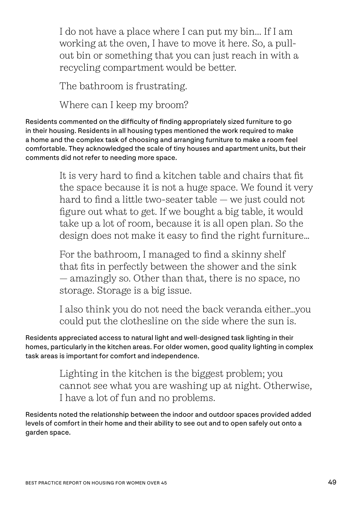I do not have a place where I can put my bin... If I am working at the oven, I have to move it here. So, a pullout bin or something that you can just reach in with a recycling compartment would be better.

The bathroom is frustrating.

Where can I keep my broom?

Residents commented on the difficulty of finding appropriately sized furniture to go in their housing. Residents in all housing types mentioned the work required to make a home and the complex task of choosing and arranging furniture to make a room feel comfortable. They acknowledged the scale of tiny houses and apartment units, but their comments did not refer to needing more space.

> It is very hard to find a kitchen table and chairs that fit the space because it is not a huge space. We found it very hard to find a little two-seater table — we just could not figure out what to get. If we bought a big table, it would take up a lot of room, because it is all open plan. So the design does not make it easy to find the right furniture…

For the bathroom, I managed to find a skinny shelf that fits in perfectly between the shower and the sink — amazingly so. Other than that, there is no space, no storage. Storage is a big issue.

I also think you do not need the back veranda either…you could put the clothesline on the side where the sun is.

Residents appreciated access to natural light and well-designed task lighting in their homes, particularly in the kitchen areas. For older women, good quality lighting in complex task areas is important for comfort and independence.

> Lighting in the kitchen is the biggest problem; you cannot see what you are washing up at night. Otherwise, I have a lot of fun and no problems.

Residents noted the relationship between the indoor and outdoor spaces provided added levels of comfort in their home and their ability to see out and to open safely out onto a garden space.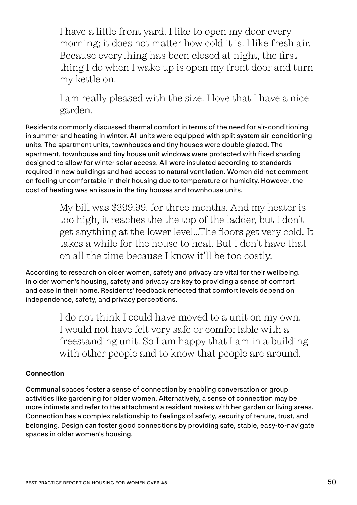I have a little front yard. I like to open my door every morning; it does not matter how cold it is. I like fresh air. Because everything has been closed at night, the first thing I do when I wake up is open my front door and turn my kettle on.

I am really pleased with the size. I love that I have a nice garden.

Residents commonly discussed thermal comfort in terms of the need for air-conditioning in summer and heating in winter. All units were equipped with split system air-conditioning units. The apartment units, townhouses and tiny houses were double glazed. The apartment, townhouse and tiny house unit windows were protected with fixed shading designed to allow for winter solar access. All were insulated according to standards required in new buildings and had access to natural ventilation. Women did not comment on feeling uncomfortable in their housing due to temperature or humidity. However, the cost of heating was an issue in the tiny houses and townhouse units.

> My bill was \$399.99. for three months. And my heater is too high, it reaches the the top of the ladder, but I don't get anything at the lower level…The floors get very cold. It takes a while for the house to heat. But I don't have that on all the time because I know it'll be too costly.

According to research on older women, safety and privacy are vital for their wellbeing. In older women's housing, safety and privacy are key to providing a sense of comfort and ease in their home. Residents' feedback reflected that comfort levels depend on independence, safety, and privacy perceptions.

> I do not think I could have moved to a unit on my own. I would not have felt very safe or comfortable with a freestanding unit. So I am happy that I am in a building with other people and to know that people are around.

#### **Connection**

Communal spaces foster a sense of connection by enabling conversation or group activities like gardening for older women. Alternatively, a sense of connection may be more intimate and refer to the attachment a resident makes with her garden or living areas. Connection has a complex relationship to feelings of safety, security of tenure, trust, and belonging. Design can foster good connections by providing safe, stable, easy-to-navigate spaces in older women's housing.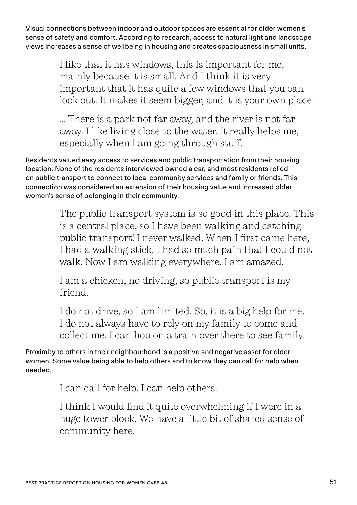Visual connections between indoor and outdoor spaces are essential for older women's sense of safety and comfort. According to research, access to natural light and landscape views increases a sense of wellbeing in housing and creates spaciousness in small units.

> I like that it has windows, this is important for me, mainly because it is small. And I think it is very important that it has quite a few windows that you can look out. It makes it seem bigger, and it is your own place.

… There is a park not far away, and the river is not far away. I like living close to the water. It really helps me, especially when I am going through stuff.

Residents valued easy access to services and public transportation from their housing location. None of the residents interviewed owned a car, and most residents relied on public transport to connect to local community services and family or friends. This connection was considered an extension of their housing value and increased older women's sense of belonging in their community.

> The public transport system is so good in this place. This is a central place, so I have been walking and catching public transport! I never walked. When I first came here, I had a walking stick. I had so much pain that I could not walk. Now I am walking everywhere. I am amazed.

I am a chicken, no driving, so public transport is my friend.

I do not drive, so I am limited. So, it is a big help for me. I do not always have to rely on my family to come and collect me. I can hop on a train over there to see family.

Proximity to others in their neighbourhood is a positive and negative asset for older women. Some value being able to help others and to know they can call for help when needed.

I can call for help. I can help others.

I think I would find it quite overwhelming if I were in a huge tower block. We have a little bit of shared sense of community here.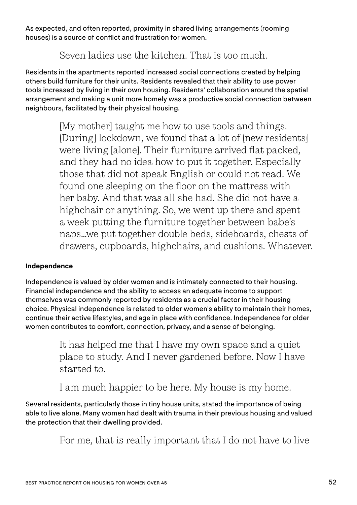As expected, and often reported, proximity in shared living arrangements (rooming houses) is a source of conflict and frustration for women.

#### Seven ladies use the kitchen. That is too much.

Residents in the apartments reported increased social connections created by helping others build furniture for their units. Residents revealed that their ability to use power tools increased by living in their own housing. Residents' collaboration around the spatial arrangement and making a unit more homely was a productive social connection between neighbours, facilitated by their physical housing.

> [My mother] taught me how to use tools and things. [During] lockdown, we found that a lot of [new residents] were living [alone]. Their furniture arrived flat packed, and they had no idea how to put it together. Especially those that did not speak English or could not read. We found one sleeping on the floor on the mattress with her baby. And that was all she had. She did not have a highchair or anything. So, we went up there and spent a week putting the furniture together between babe's naps…we put together double beds, sideboards, chests of drawers, cupboards, highchairs, and cushions. Whatever.

#### **Independence**

Independence is valued by older women and is intimately connected to their housing. Financial independence and the ability to access an adequate income to support themselves was commonly reported by residents as a crucial factor in their housing choice. Physical independence is related to older women's ability to maintain their homes, continue their active lifestyles, and age in place with confidence. Independence for older women contributes to comfort, connection, privacy, and a sense of belonging.

> It has helped me that I have my own space and a quiet place to study. And I never gardened before. Now I have started to.

I am much happier to be here. My house is my home.

Several residents, particularly those in tiny house units, stated the importance of being able to live alone. Many women had dealt with trauma in their previous housing and valued the protection that their dwelling provided.

For me, that is really important that I do not have to live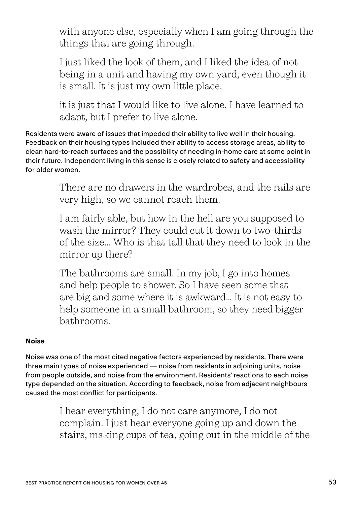with anyone else, especially when I am going through the things that are going through.

I just liked the look of them, and I liked the idea of not being in a unit and having my own yard, even though it is small. It is just my own little place.

it is just that I would like to live alone. I have learned to adapt, but I prefer to live alone.

Residents were aware of issues that impeded their ability to live well in their housing. Feedback on their housing types included their ability to access storage areas, ability to clean hard-to-reach surfaces and the possibility of needing in-home care at some point in their future. Independent living in this sense is closely related to safety and accessibility for older women.

> There are no drawers in the wardrobes, and the rails are very high, so we cannot reach them.

> I am fairly able, but how in the hell are you supposed to wash the mirror? They could cut it down to two-thirds of the size... Who is that tall that they need to look in the mirror up there?

The bathrooms are small. In my job, I go into homes and help people to shower. So I have seen some that are big and some where it is awkward… It is not easy to help someone in a small bathroom, so they need bigger bathrooms.

#### **Noise**

Noise was one of the most cited negative factors experienced by residents. There were three main types of noise experienced — noise from residents in adjoining units, noise from people outside, and noise from the environment. Residents' reactions to each noise type depended on the situation. According to feedback, noise from adjacent neighbours caused the most conflict for participants.

> I hear everything, I do not care anymore, I do not complain. I just hear everyone going up and down the stairs, making cups of tea, going out in the middle of the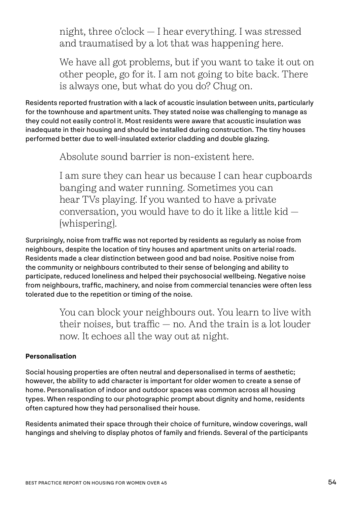night, three o'clock — I hear everything. I was stressed and traumatised by a lot that was happening here.

We have all got problems, but if you want to take it out on other people, go for it. I am not going to bite back. There is always one, but what do you do? Chug on.

Residents reported frustration with a lack of acoustic insulation between units, particularly for the townhouse and apartment units. They stated noise was challenging to manage as they could not easily control it. Most residents were aware that acoustic insulation was inadequate in their housing and should be installed during construction. The tiny houses performed better due to well-insulated exterior cladding and double glazing.

Absolute sound barrier is non-existent here.

I am sure they can hear us because I can hear cupboards banging and water running. Sometimes you can hear TVs playing. If you wanted to have a private conversation, you would have to do it like a little kid — [whispering].

Surprisingly, noise from traffic was not reported by residents as regularly as noise from neighbours, despite the location of tiny houses and apartment units on arterial roads. Residents made a clear distinction between good and bad noise. Positive noise from the community or neighbours contributed to their sense of belonging and ability to participate, reduced loneliness and helped their psychosocial wellbeing. Negative noise from neighbours, traffic, machinery, and noise from commercial tenancies were often less tolerated due to the repetition or timing of the noise.

> You can block your neighbours out. You learn to live with their noises, but traffic — no. And the train is a lot louder now. It echoes all the way out at night.

#### **Personalisation**

Social housing properties are often neutral and depersonalised in terms of aesthetic; however, the ability to add character is important for older women to create a sense of home. Personalisation of indoor and outdoor spaces was common across all housing types. When responding to our photographic prompt about dignity and home, residents often captured how they had personalised their house.

Residents animated their space through their choice of furniture, window coverings, wall hangings and shelving to display photos of family and friends. Several of the participants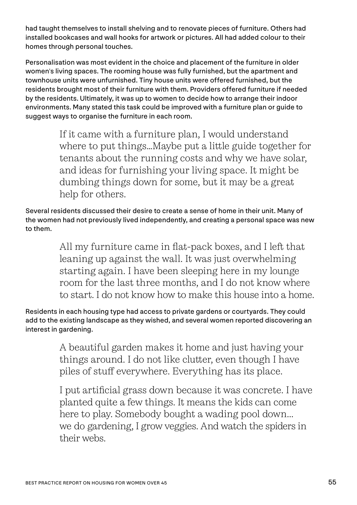had taught themselves to install shelving and to renovate pieces of furniture. Others had installed bookcases and wall hooks for artwork or pictures. All had added colour to their homes through personal touches.

Personalisation was most evident in the choice and placement of the furniture in older women's living spaces. The rooming house was fully furnished, but the apartment and townhouse units were unfurnished. Tiny house units were offered furnished, but the residents brought most of their furniture with them. Providers offered furniture if needed by the residents. Ultimately, it was up to women to decide how to arrange their indoor environments. Many stated this task could be improved with a furniture plan or guide to suggest ways to organise the furniture in each room.

> If it came with a furniture plan, I would understand where to put things…Maybe put a little guide together for tenants about the running costs and why we have solar, and ideas for furnishing your living space. It might be dumbing things down for some, but it may be a great help for others.

Several residents discussed their desire to create a sense of home in their unit. Many of the women had not previously lived independently, and creating a personal space was new to them.

> All my furniture came in flat-pack boxes, and I left that leaning up against the wall. It was just overwhelming starting again. I have been sleeping here in my lounge room for the last three months, and I do not know where to start. I do not know how to make this house into a home.

Residents in each housing type had access to private gardens or courtyards. They could add to the existing landscape as they wished, and several women reported discovering an interest in gardening.

> A beautiful garden makes it home and just having your things around. I do not like clutter, even though I have piles of stuff everywhere. Everything has its place.

I put artificial grass down because it was concrete. I have planted quite a few things. It means the kids can come here to play. Somebody bought a wading pool down... we do gardening, I grow veggies. And watch the spiders in their webs.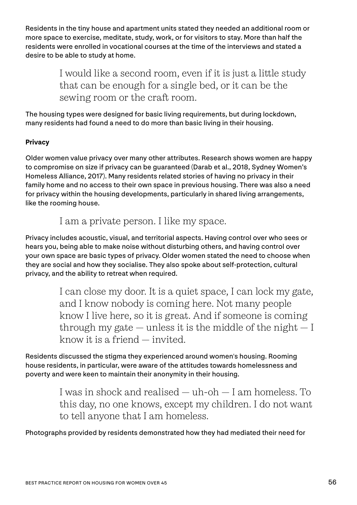Residents in the tiny house and apartment units stated they needed an additional room or more space to exercise, meditate, study, work, or for visitors to stay. More than half the residents were enrolled in vocational courses at the time of the interviews and stated a desire to be able to study at home.

> I would like a second room, even if it is just a little study that can be enough for a single bed, or it can be the sewing room or the craft room.

The housing types were designed for basic living requirements, but during lockdown, many residents had found a need to do more than basic living in their housing.

#### **Privacy**

Older women value privacy over many other attributes. Research shows women are happy to compromise on size if privacy can be guaranteed (Darab et al., 2018, Sydney Women's Homeless Alliance, 2017). Many residents related stories of having no privacy in their family home and no access to their own space in previous housing. There was also a need for privacy within the housing developments, particularly in shared living arrangements, like the rooming house.

I am a private person. I like my space.

Privacy includes acoustic, visual, and territorial aspects. Having control over who sees or hears you, being able to make noise without disturbing others, and having control over your own space are basic types of privacy. Older women stated the need to choose when they are social and how they socialise. They also spoke about self-protection, cultural privacy, and the ability to retreat when required.

> I can close my door. It is a quiet space, I can lock my gate, and I know nobody is coming here. Not many people know I live here, so it is great. And if someone is coming through my gate  $-$  unless it is the middle of the night  $-1$ know it is a friend — invited.

Residents discussed the stigma they experienced around women's housing. Rooming house residents, in particular, were aware of the attitudes towards homelessness and poverty and were keen to maintain their anonymity in their housing.

> I was in shock and realised — uh-oh — I am homeless. To this day, no one knows, except my children. I do not want to tell anyone that I am homeless.

Photographs provided by residents demonstrated how they had mediated their need for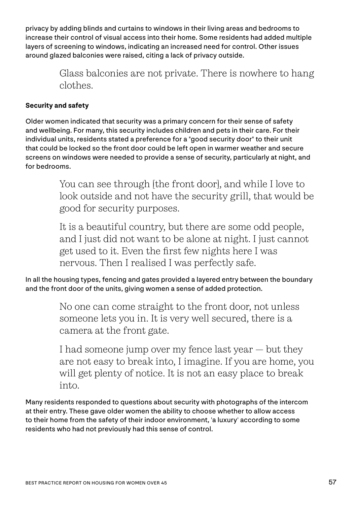privacy by adding blinds and curtains to windows in their living areas and bedrooms to increase their control of visual access into their home. Some residents had added multiple layers of screening to windows, indicating an increased need for control. Other issues around glazed balconies were raised, citing a lack of privacy outside.

> Glass balconies are not private. There is nowhere to hang clothes.

#### **Security and safety**

Older women indicated that security was a primary concern for their sense of safety and wellbeing. For many, this security includes children and pets in their care. For their individual units, residents stated a preference for a "good security door" to their unit that could be locked so the front door could be left open in warmer weather and secure screens on windows were needed to provide a sense of security, particularly at night, and for bedrooms.

> You can see through [the front door], and while I love to look outside and not have the security grill, that would be good for security purposes.

It is a beautiful country, but there are some odd people, and I just did not want to be alone at night. I just cannot get used to it. Even the first few nights here I was nervous. Then I realised I was perfectly safe.

In all the housing types, fencing and gates provided a layered entry between the boundary and the front door of the units, giving women a sense of added protection.

> No one can come straight to the front door, not unless someone lets you in. It is very well secured, there is a camera at the front gate.

I had someone jump over my fence last year — but they are not easy to break into, I imagine. If you are home, you will get plenty of notice. It is not an easy place to break into.

Many residents responded to questions about security with photographs of the intercom at their entry. These gave older women the ability to choose whether to allow access to their home from the safety of their indoor environment, 'a luxury' according to some residents who had not previously had this sense of control.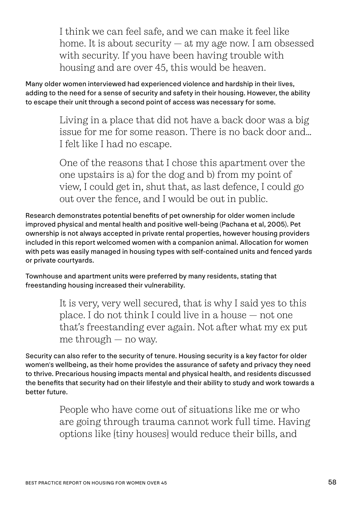I think we can feel safe, and we can make it feel like home. It is about security — at my age now. I am obsessed with security. If you have been having trouble with housing and are over 45, this would be heaven.

Many older women interviewed had experienced violence and hardship in their lives, adding to the need for a sense of security and safety in their housing. However, the ability to escape their unit through a second point of access was necessary for some.

> Living in a place that did not have a back door was a big issue for me for some reason. There is no back door and… I felt like I had no escape.

One of the reasons that I chose this apartment over the one upstairs is a) for the dog and b) from my point of view, I could get in, shut that, as last defence, I could go out over the fence, and I would be out in public.

Research demonstrates potential benefits of pet ownership for older women include improved physical and mental health and positive well-being (Pachana et al, 2005). Pet ownership is not always accepted in private rental properties, however housing providers included in this report welcomed women with a companion animal. Allocation for women with pets was easily managed in housing types with self-contained units and fenced yards or private courtyards.

Townhouse and apartment units were preferred by many residents, stating that freestanding housing increased their vulnerability.

> It is very, very well secured, that is why I said yes to this place. I do not think I could live in a house — not one that's freestanding ever again. Not after what my ex put me through — no way.

Security can also refer to the security of tenure. Housing security is a key factor for older women's wellbeing, as their home provides the assurance of safety and privacy they need to thrive. Precarious housing impacts mental and physical health, and residents discussed the benefits that security had on their lifestyle and their ability to study and work towards a better future.

> People who have come out of situations like me or who are going through trauma cannot work full time. Having options like [tiny houses] would reduce their bills, and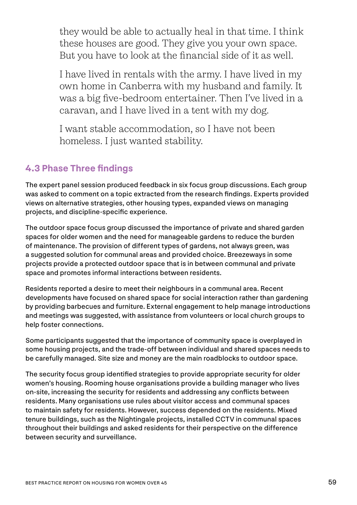they would be able to actually heal in that time. I think these houses are good. They give you your own space. But you have to look at the financial side of it as well.

I have lived in rentals with the army. I have lived in my own home in Canberra with my husband and family. It was a big five-bedroom entertainer. Then I've lived in a caravan, and I have lived in a tent with my dog.

I want stable accommodation, so I have not been homeless. I just wanted stability.

#### **4.3 Phase Three findings**

The expert panel session produced feedback in six focus group discussions. Each group was asked to comment on a topic extracted from the research findings. Experts provided views on alternative strategies, other housing types, expanded views on managing projects, and discipline-specific experience.

The outdoor space focus group discussed the importance of private and shared garden spaces for older women and the need for manageable gardens to reduce the burden of maintenance. The provision of different types of gardens, not always green, was a suggested solution for communal areas and provided choice. Breezeways in some projects provide a protected outdoor space that is in between communal and private space and promotes informal interactions between residents.

Residents reported a desire to meet their neighbours in a communal area. Recent developments have focused on shared space for social interaction rather than gardening by providing barbecues and furniture. External engagement to help manage introductions and meetings was suggested, with assistance from volunteers or local church groups to help foster connections.

Some participants suggested that the importance of community space is overplayed in some housing projects, and the trade-off between individual and shared spaces needs to be carefully managed. Site size and money are the main roadblocks to outdoor space.

The security focus group identified strategies to provide appropriate security for older women's housing. Rooming house organisations provide a building manager who lives on-site, increasing the security for residents and addressing any conflicts between residents. Many organisations use rules about visitor access and communal spaces to maintain safety for residents. However, success depended on the residents. Mixed tenure buildings, such as the Nightingale projects, installed CCTV in communal spaces throughout their buildings and asked residents for their perspective on the difference between security and surveillance.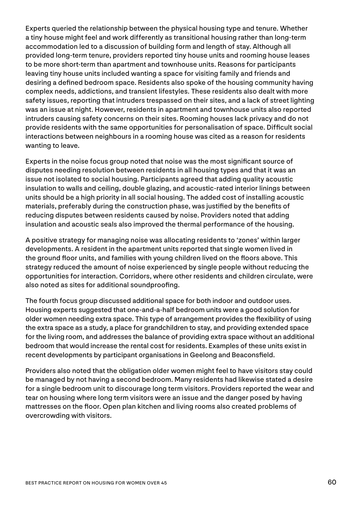Experts queried the relationship between the physical housing type and tenure. Whether a tiny house might feel and work differently as transitional housing rather than long-term accommodation led to a discussion of building form and length of stay. Although all provided long-term tenure, providers reported tiny house units and rooming house leases to be more short-term than apartment and townhouse units. Reasons for participants leaving tiny house units included wanting a space for visiting family and friends and desiring a defined bedroom space. Residents also spoke of the housing community having complex needs, addictions, and transient lifestyles. These residents also dealt with more safety issues, reporting that intruders trespassed on their sites, and a lack of street lighting was an issue at night. However, residents in apartment and townhouse units also reported intruders causing safety concerns on their sites. Rooming houses lack privacy and do not provide residents with the same opportunities for personalisation of space. Difficult social interactions between neighbours in a rooming house was cited as a reason for residents wanting to leave.

Experts in the noise focus group noted that noise was the most significant source of disputes needing resolution between residents in all housing types and that it was an issue not isolated to social housing. Participants agreed that adding quality acoustic insulation to walls and ceiling, double glazing, and acoustic-rated interior linings between units should be a high priority in all social housing. The added cost of installing acoustic materials, preferably during the construction phase, was justified by the benefits of reducing disputes between residents caused by noise. Providers noted that adding insulation and acoustic seals also improved the thermal performance of the housing.

A positive strategy for managing noise was allocating residents to 'zones' within larger developments. A resident in the apartment units reported that single women lived in the ground floor units, and families with young children lived on the floors above. This strategy reduced the amount of noise experienced by single people without reducing the opportunities for interaction. Corridors, where other residents and children circulate, were also noted as sites for additional soundproofing.

The fourth focus group discussed additional space for both indoor and outdoor uses. Housing experts suggested that one-and-a-half bedroom units were a good solution for older women needing extra space. This type of arrangement provides the flexibility of using the extra space as a study, a place for grandchildren to stay, and providing extended space for the living room, and addresses the balance of providing extra space without an additional bedroom that would increase the rental cost for residents. Examples of these units exist in recent developments by participant organisations in Geelong and Beaconsfield.

Providers also noted that the obligation older women might feel to have visitors stay could be managed by not having a second bedroom. Many residents had likewise stated a desire for a single bedroom unit to discourage long term visitors. Providers reported the wear and tear on housing where long term visitors were an issue and the danger posed by having mattresses on the floor. Open plan kitchen and living rooms also created problems of overcrowding with visitors.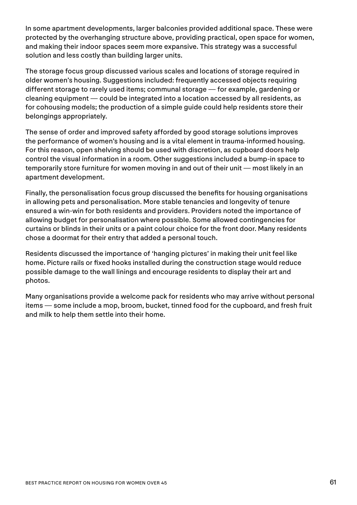In some apartment developments, larger balconies provided additional space. These were protected by the overhanging structure above, providing practical, open space for women, and making their indoor spaces seem more expansive. This strategy was a successful solution and less costly than building larger units.

The storage focus group discussed various scales and locations of storage required in older women's housing. Suggestions included: frequently accessed objects requiring different storage to rarely used items; communal storage — for example, gardening or cleaning equipment — could be integrated into a location accessed by all residents, as for cohousing models; the production of a simple guide could help residents store their belongings appropriately.

The sense of order and improved safety afforded by good storage solutions improves the performance of women's housing and is a vital element in trauma-informed housing. For this reason, open shelving should be used with discretion, as cupboard doors help control the visual information in a room. Other suggestions included a bump-in space to temporarily store furniture for women moving in and out of their unit — most likely in an apartment development.

Finally, the personalisation focus group discussed the benefits for housing organisations in allowing pets and personalisation. More stable tenancies and longevity of tenure ensured a win-win for both residents and providers. Providers noted the importance of allowing budget for personalisation where possible. Some allowed contingencies for curtains or blinds in their units or a paint colour choice for the front door. Many residents chose a doormat for their entry that added a personal touch.

Residents discussed the importance of 'hanging pictures' in making their unit feel like home. Picture rails or fixed hooks installed during the construction stage would reduce possible damage to the wall linings and encourage residents to display their art and photos.

Many organisations provide a welcome pack for residents who may arrive without personal items — some include a mop, broom, bucket, tinned food for the cupboard, and fresh fruit and milk to help them settle into their home.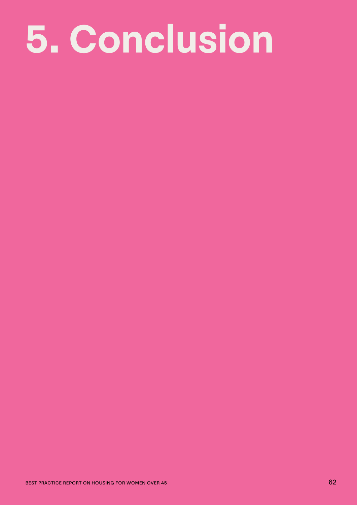### **5. Conclusion**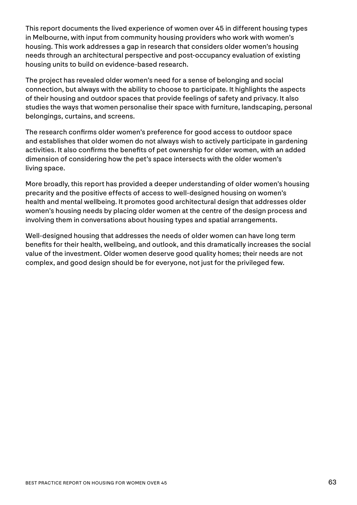This report documents the lived experience of women over 45 in different housing types in Melbourne, with input from community housing providers who work with women's housing. This work addresses a gap in research that considers older women's housing needs through an architectural perspective and post-occupancy evaluation of existing housing units to build on evidence-based research.

The project has revealed older women's need for a sense of belonging and social connection, but always with the ability to choose to participate. It highlights the aspects of their housing and outdoor spaces that provide feelings of safety and privacy. It also studies the ways that women personalise their space with furniture, landscaping, personal belongings, curtains, and screens.

The research confirms older women's preference for good access to outdoor space and establishes that older women do not always wish to actively participate in gardening activities. It also confirms the benefits of pet ownership for older women, with an added dimension of considering how the pet's space intersects with the older women's living space.

More broadly, this report has provided a deeper understanding of older women's housing precarity and the positive effects of access to well-designed housing on women's health and mental wellbeing. It promotes good architectural design that addresses older women's housing needs by placing older women at the centre of the design process and involving them in conversations about housing types and spatial arrangements.

Well-designed housing that addresses the needs of older women can have long term benefits for their health, wellbeing, and outlook, and this dramatically increases the social value of the investment. Older women deserve good quality homes; their needs are not complex, and good design should be for everyone, not just for the privileged few.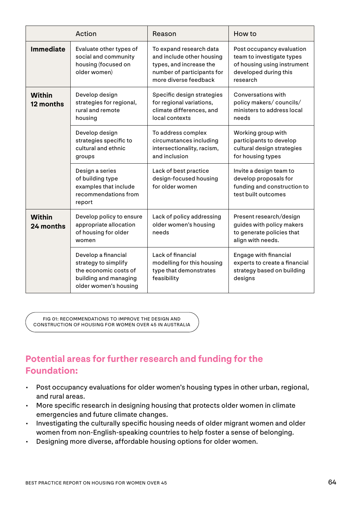|                            | Action                                                                                                                 | Reason                                                                                                                                 | How to                                                                                                                     |
|----------------------------|------------------------------------------------------------------------------------------------------------------------|----------------------------------------------------------------------------------------------------------------------------------------|----------------------------------------------------------------------------------------------------------------------------|
| <b>Immediate</b>           | Evaluate other types of<br>social and community<br>housing (focused on<br>older women)                                 | To expand research data<br>and include other housing<br>types, and increase the<br>number of participants for<br>more diverse feedback | Post occupancy evaluation<br>team to investigate types<br>of housing using instrument<br>developed during this<br>research |
| <b>Within</b><br>12 months | Develop design<br>strategies for regional,<br>rural and remote<br>housing                                              | Specific design strategies<br>for regional variations,<br>climate differences, and<br>local contexts                                   | Conversations with<br>policy makers/councils/<br>ministers to address local<br>needs                                       |
|                            | Develop design<br>strategies specific to<br>cultural and ethnic<br>groups                                              | To address complex<br>circumstances including<br>intersectionality, racism,<br>and inclusion                                           | Working group with<br>participants to develop<br>cultural design strategies<br>for housing types                           |
|                            | Design a series<br>of building type<br>examples that include<br>recommendations from<br>report                         | Lack of best practice<br>design-focused housing<br>for older women                                                                     | Invite a design team to<br>develop proposals for<br>funding and construction to<br>test built outcomes                     |
| <b>Within</b><br>24 months | Develop policy to ensure<br>appropriate allocation<br>of housing for older<br>women                                    | Lack of policy addressing<br>older women's housing<br>needs                                                                            | Present research/design<br>guides with policy makers<br>to generate policies that<br>align with needs.                     |
|                            | Develop a financial<br>strategy to simplify<br>the economic costs of<br>building and managing<br>older women's housing | Lack of financial<br>modelling for this housing<br>type that demonstrates<br>feasibility                                               | <b>Engage with financial</b><br>experts to create a financial<br>strategy based on building<br>designs                     |

FIG 01: RECOMMENDATIONS TO IMPROVE THE DESIGN AND CONSTRUCTION OF HOUSING FOR WOMEN OVER 45 IN AUSTRALIA

#### **Potential areas for further research and funding for the Foundation:**

- Post occupancy evaluations for older women's housing types in other urban, regional, and rural areas.
- More specific research in designing housing that protects older women in climate emergencies and future climate changes.
- Investigating the culturally specific housing needs of older migrant women and older women from non-English-speaking countries to help foster a sense of belonging.
- Designing more diverse, affordable housing options for older women.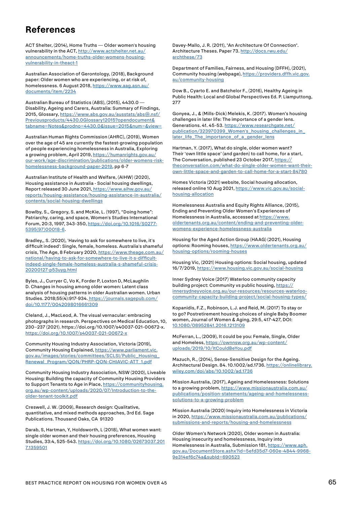#### **References**

ACT Shelter, (2014), Home Truths — Older women's housing vulnerability in the ACT, [http://www.actshelter.net.au/](https://ywca-canberra.org.au/wp-content/uploads/2015/10/Safe-Well-Redefining-Housing-Affordability-YWCA-Canberra-excerpt.pdf) [announcements/home-truths-older-womens-housing](https://ywca-canberra.org.au/wp-content/uploads/2015/10/Safe-Well-Redefining-Housing-Affordability-YWCA-Canberra-excerpt.pdf)[vulnerability-in-theact-1](https://ywca-canberra.org.au/wp-content/uploads/2015/10/Safe-Well-Redefining-Housing-Affordability-YWCA-Canberra-excerpt.pdf)

Australian Association of Gerontology, (2018), Background paper: Older women who are experiencing, or at risk of, homelessness. 6 August 2018, [https://www.aag.asn.au/](https://www.aag.asn.au/documents/item/2234) [documents/item/2234](https://www.aag.asn.au/documents/item/2234)

Australian Bureau of Statistics (ABS), (2015), 4430.0 — Disability, Ageing and Carers, Australia: Summary of Findings, 2015, Glossary, [https://www.abs.gov.au/ausstats/abs@.nsf/](https://www.abs.gov.au/ausstats/abs@.nsf/Previousproducts/4430.0Glossary12015?opendocument&tabname=Notes&prodno=4430.0&issue=2015&num=&view=) [Previousproducts/4430.0Glossary12015?opendocument&](https://www.abs.gov.au/ausstats/abs@.nsf/Previousproducts/4430.0Glossary12015?opendocument&tabname=Notes&prodno=4430.0&issue=2015&num=&view=) [tabname=Notes&prodno=4430.0&issue=2015&num=&view=](https://www.abs.gov.au/ausstats/abs@.nsf/Previousproducts/4430.0Glossary12015?opendocument&tabname=Notes&prodno=4430.0&issue=2015&num=&view=)

Australian Human Rights Commission (AHRC), (2019), Women over the age of 45 are currently the fastest-growing population of people experiencing homelessness in Australia, Exploring a growing problem, April 2019, [https://humanrights.gov.au/](https://humanrights.gov.au/our-work/age-discrimination/publications/older-womens-risk-homelessness-background-paper-2019) [our-work/age-discrimination/publications/older-womens-risk](https://humanrights.gov.au/our-work/age-discrimination/publications/older-womens-risk-homelessness-background-paper-2019)[homelessness-background-paper-2019](https://humanrights.gov.au/our-work/age-discrimination/publications/older-womens-risk-homelessness-background-paper-2019), pp 6-7

Australian Institute of Health and Welfare, (AIHW) (2020), Housing assistance in Australia - Social housing dwellings, Report released 30 June 2021, [https://www.aihw.gov.au/](https://www.aihw.gov.au/reports/housing-assistance/housing-assistance-in-australia/contents/social-housing-dwellings) [reports/housing-assistance/housing-assistance-in-australia/](https://www.aihw.gov.au/reports/housing-assistance/housing-assistance-in-australia/contents/social-housing-dwellings) [contents/social-housing-dwellings](https://www.aihw.gov.au/reports/housing-assistance/housing-assistance-in-australia/contents/social-housing-dwellings)

Bowlby, S., Gregory, S. and McKie, L. (1997), "Doing home": Patriarchy, caring, and space, Women's Studies International Forum, 20:3, 1997, 343-350, [https://doi.org/10.1016/S0277-](https://www.sciencedirect.com/science/article/pii/S0277539597000186?via%3Dihub) [5395\(97\)00018-6](https://www.sciencedirect.com/science/article/pii/S0277539597000186?via%3Dihub).

Bradley,, S. (2020), 'Having to ask for somewhere to live, it's difficult indeed': Single, female, homeless. Australia's shameful crisis, The Age, 8 February 2020, [https://www.theage.com.au/](https://www.theage.com.au/national/having-to-ask-for-somewhere-to-live-it-s-difficult-indeed-single-female-homeless-australia-s-shameful-crisis-20200127-p53uyg.html) [national/having-to-ask-for-somewhere-to-live-it-s-difficult](https://www.theage.com.au/national/having-to-ask-for-somewhere-to-live-it-s-difficult-indeed-single-female-homeless-australia-s-shameful-crisis-20200127-p53uyg.html)[indeed-single-female-homeless-australia-s-shameful-crisis-](https://www.theage.com.au/national/having-to-ask-for-somewhere-to-live-it-s-difficult-indeed-single-female-homeless-australia-s-shameful-crisis-20200127-p53uyg.html)[20200127-p53uyg.html](https://www.theage.com.au/national/having-to-ask-for-somewhere-to-live-it-s-difficult-indeed-single-female-homeless-australia-s-shameful-crisis-20200127-p53uyg.html)

Byles, J., Curryer C, Vo K, Forder P, Loxton D, McLaughlin D. Changes in housing among older women: Latent class analysis of housing patterns in older Australian women. Urban Studies. 2018;55(4):917-934. [https://journals.sagepub.com/](https://journals.sagepub.com/doi/10.1177/0042098016661309) [doi/10.1177/0042098016661309](https://journals.sagepub.com/doi/10.1177/0042098016661309)

Cleland, J., MacLeod, A. The visual vernacular: embracing photographs in research. Perspectives on Medical Education, 10, 230–237 (2021). https://doi.org/10.1007/s40037-021-00672-x. <https://doi.org/10.1007/s40037-021-00672-x>

Community Housing Industry Association, Victoria (2019), Community Housing Explained, [https://www.parliament.vic.](https://www.parliament.vic.gov.au/images/stories/committees/SCLSI/Public_Housing_Renewal_Program/QON/PHRP-QON-CHIAVIC-ATT_1.pdf) [gov.au/images/stories/committees/SCLSI/Public\\_Housing\\_](https://www.parliament.vic.gov.au/images/stories/committees/SCLSI/Public_Housing_Renewal_Program/QON/PHRP-QON-CHIAVIC-ATT_1.pdf) [Renewal\\_Program/QON/PHRP-QON-CHIAVIC-ATT\\_1.pdf](https://www.parliament.vic.gov.au/images/stories/committees/SCLSI/Public_Housing_Renewal_Program/QON/PHRP-QON-CHIAVIC-ATT_1.pdf)

Community Housing Industry Association, NSW (2020), Liveable Housing: Building the capacity of Community Housing Providers to Support Tenants to Age in Place, [https://communityhousing.](https://communityhousing.org.au/wp-content/uploads/2020/07/Introduction-to-the-older-tenant-toolkit.pdf) [org.au/wp-content/uploads/2020/07/Introduction-to-the](https://communityhousing.org.au/wp-content/uploads/2020/07/Introduction-to-the-older-tenant-toolkit.pdf)[older-tenant-toolkit.pdf](https://communityhousing.org.au/wp-content/uploads/2020/07/Introduction-to-the-older-tenant-toolkit.pdf)

Creswell, J. W. (2009), Research design: Qualitative, quantitative, and mixed methods approaches, 3rd Ed. Sage Publications. Thousand Oaks, CA 91320

Darab, S, Hartman, Y, Holdsworth, L (2018), What women want: single older women and their housing preferences, Housing Studies, 33:4, 525-543. [https://doi.org/10.1080/02673037.201](https://doi.org/10.1080/02673037.2017.1359501) [7.1359501](https://doi.org/10.1080/02673037.2017.1359501)

Davey-Mallo, J. R. (2011), "An Architecture Of Connection". Architecture Theses. Paper 73. [http://docs.rwu.edu/](http://docs.rwu.edu/archthese/73) [archthese/73](http://docs.rwu.edu/archthese/73)

Department of Families, Fairness, and Housing (DFFH), (2021), Community housing (webpage), [https://providers.dffh.vic.gov.](https://providers.dffh.vic.gov.au/community-housing) [au/community-housing](https://providers.dffh.vic.gov.au/community-housing)

Dow B., Cyarto E. and Batchelor F., (2016), Healthy Ageing in Public Health: Local and Global Perspectives Ed. P. Liamputtong, 277

Gonyea, J., & (Mills-Dick) Melekis, K. (2017). Women's housing challenges in later life: The importance of a gender lens. Generations. 41. 45-53. [https://www.researchgate.net/](https://www.researchgate.net/publication/323970399_Women) [publication/323970399\\_Women's\\_housing\\_challenges\\_in\\_](https://www.researchgate.net/publication/323970399_Women) [later\\_life\\_The\\_importance\\_of\\_a\\_gender\\_lens](https://www.researchgate.net/publication/323970399_Women)

Hartman, Y. (2017), What do single, older women want? Their 'own little space' (and garden) to call home, for a start, The Conversation, published 23 October 2017, [https://](https://theconversation.com/what-do-single-older-women-want-their-own-little-space-and-garden-to-call-home-for-a-start-84780) [theconversation.com/what-do-single-older-women-want-their](https://theconversation.com/what-do-single-older-women-want-their-own-little-space-and-garden-to-call-home-for-a-start-84780)[own-little-space-and-garden-to-call-home-for-a-start-84780](https://theconversation.com/what-do-single-older-women-want-their-own-little-space-and-garden-to-call-home-for-a-start-84780)

Homes Victoria (2021) website, Social housing allocation, released online 10 Aug 2021, [https://www.vic.gov.au/social](https://www.vic.gov.au/social-housing-allocation)[housing-allocation](https://www.vic.gov.au/social-housing-allocation)

Homelessness Australia and Equity Rights Alliance, (2015), Ending and Preventing Older Women's Experiences of Homelessness in Australia, accessed at [https://www.](https://www.oldertenants.org.au/content/ending-and-preventing-older-womens-experience-homelessness-australia) [oldertenants.org.au/content/ending-and-preventing-older](https://www.oldertenants.org.au/content/ending-and-preventing-older-womens-experience-homelessness-australia)[womens-experience-homelessness-australia](https://www.oldertenants.org.au/content/ending-and-preventing-older-womens-experience-homelessness-australia)

Housing for the Aged Action Group (HAAG) (2021), Housing options: Rooming houses, [https://www.oldertenants.org.au/](https://www.oldertenants.org.au/housing-options/rooming-houses) [housing-options/rooming-houses](https://www.oldertenants.org.au/housing-options/rooming-houses)

Housing Vic, (2021) Housing options: Social housing, updated 16/7/2019, <https://www.housing.vic.gov.au/social-housing>

Inner Sydney Voice (2017) Waterloo community capacity building project: Community vs public housing, [https://](https://innersydneyvoice.org.au/our-resources/resources-waterloo-community-capacity-building-project/social-housing-types/) [innersydneyvoice.org.au/our-resources/resources-waterloo](https://innersydneyvoice.org.au/our-resources/resources-waterloo-community-capacity-building-project/social-housing-types/)[community-capacity-building-project/social-housing-types/](https://innersydneyvoice.org.au/our-resources/resources-waterloo-community-capacity-building-project/social-housing-types/)

Kopanidis, F.Z., Robinson, L.J. and Reid, M. (2017) To stay or to go? Postretirement housing choices of single Baby Boomer women, Journal of Women & Aging, 29:5, 417-427, DOI: [10.1080/08952841.2016.1213109](https://www.tandfonline.com/doi/full/10.1080/08952841.2016.1213109)

McFerran, L., (2009), It could be you: Female, Single, Older and Homeless, [https://ownnsw.org.au/wp-content/](https://ownnsw.org.au/wp-content/uploads/2019/10/ItCouldBeYou.pdf) [uploads/2019/10/ItCouldBeYou.pdf](https://ownnsw.org.au/wp-content/uploads/2019/10/ItCouldBeYou.pdf)

Mazuch, R., (2014), Sense-Sensitive Design for the Ageing. Architectural Design. 84. 10.1002/ad.1736. [https://onlinelibrary.](https://onlinelibrary.wiley.com/doi/abs/10.1002/ad.1736) [wiley.com/doi/abs/10.1002/ad.1736](https://onlinelibrary.wiley.com/doi/abs/10.1002/ad.1736)

Mission Australia, (2017), Ageing and Homelessness: Solutions to a growing problem, [https://www.missionaustralia.com.au/](https://www.missionaustralia.com.au/publications/position-statements/ageing-and-homelessness-solutions-to-a-growing-problem) [publications/position-statements/ageing-and-homelessness](https://www.missionaustralia.com.au/publications/position-statements/ageing-and-homelessness-solutions-to-a-growing-problem)[solutions-to-a-growing-problem](https://www.missionaustralia.com.au/publications/position-statements/ageing-and-homelessness-solutions-to-a-growing-problem)

Mission Australia (2020) Inquiry into Homelessness in Victoria in 2020, [https://www.missionaustralia.com.au/publications/](https://www.missionaustralia.com.au/publications/submissions-and-reports/housing-and-homelessness) [submissions-and-reports/housing-and-homelessness](https://www.missionaustralia.com.au/publications/submissions-and-reports/housing-and-homelessness)

Older Women's Network (2020), Older women in Australia: Housing insecurity and homelessness, Inquiry into Homelessness in Australia, Submission 181, [https://www.aph.](file:https://www.aph.gov.au/DocumentStore.ashx%3Fid%3D5efd35d7-060e-4844-9968-9e314ef6c74a%26subId%3D690523) [gov.au/DocumentStore.ashx?id=5efd35d7-060e-4844-9968-](file:https://www.aph.gov.au/DocumentStore.ashx%3Fid%3D5efd35d7-060e-4844-9968-9e314ef6c74a%26subId%3D690523) [9e314ef6c74a&subId=690523](file:https://www.aph.gov.au/DocumentStore.ashx%3Fid%3D5efd35d7-060e-4844-9968-9e314ef6c74a%26subId%3D690523)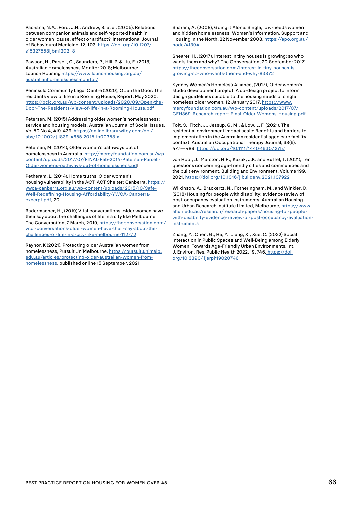Pachana, N.A., Ford, J.H., Andrew, B. et al. (2005), Relations between companion animals and self-reported health in older women: cause, effect or artifact?. International Journal of Behavioural Medicine, 12, 103[. https://doi.org/10.1207/](https://doi.org/10.1207/s15327558ijbm1202_8 ) [s15327558ijbm1202\\_8](https://doi.org/10.1207/s15327558ijbm1202_8 )

Pawson, H., Parsell, C., Saunders, P., Hill, P. & Liu, E. (2018) Australian Homelessness Monitor 2018; Melbourne: Launch Housing [https://www.launchhousing.org.au/](https://www.launchhousing.org.au/australianhomelessnessmonitor/) [australianhomelessnessmonitor/](https://www.launchhousing.org.au/australianhomelessnessmonitor/)

Peninsula Community Legal Centre (2020), Open the Door: The residents view of life in a Rooming House, Report, May 2020, [https://pclc.org.au/wp-content/uploads/2020/09/Open-the-](https://pclc.org.au/wp-content/uploads/2020/09/Open-the-Door-The-Residents-View-of-life-in-a-Rooming-House.pdf)[Door-The-Residents-View-of-life-in-a-Rooming-House.pdf](https://pclc.org.au/wp-content/uploads/2020/09/Open-the-Door-The-Residents-View-of-life-in-a-Rooming-House.pdf)

Petersen, M. (2015) Addressing older women's homelessness: service and housing models, Australian Journal of Social Issues, Vol 50 No 4, 419-439. [https://onlinelibrary.wiley.com/doi/](https://onlinelibrary.wiley.com/doi/abs/10.1002/j.1839-4655.2015.tb00358.x) [abs/10.1002/j.1839-4655.2015.tb00358.x](https://onlinelibrary.wiley.com/doi/abs/10.1002/j.1839-4655.2015.tb00358.x)

Petersen, M. (2014), Older women's pathways out of homelessness in Australia, [http://mercyfoundation.com.au/wp](http://mercyfoundation.com.au/wp-content/uploads/2017/07/FINAL-Feb-2014-Petersen-Parsell-Older-womens-pathways-out-of-homelessness.pdf)[content/uploads/2017/07/FINAL-Feb-2014-Petersen-Parsell-](http://mercyfoundation.com.au/wp-content/uploads/2017/07/FINAL-Feb-2014-Petersen-Parsell-Older-womens-pathways-out-of-homelessness.pdf)[Older-womens-pathways-out-of-homelessness.pd](http://mercyfoundation.com.au/wp-content/uploads/2017/07/FINAL-Feb-2014-Petersen-Parsell-Older-womens-pathways-out-of-homelessness.pdf)f

Petheram, L, (2014). Home truths: Older women's housing vulnerability in the ACT. ACT Shelter: Canberra. [https://](https://ywca-canberra.org.au/wp-content/uploads/2015/10/Safe-Well-Redefining-Housing-Affordability-YWCA-Canberra-excerpt.pdf) [ywca-canberra.org.au/wp-content/uploads/2015/10/Safe-](https://ywca-canberra.org.au/wp-content/uploads/2015/10/Safe-Well-Redefining-Housing-Affordability-YWCA-Canberra-excerpt.pdf)[Well-Redefining-Housing-Affordability-YWCA-Canberra](https://ywca-canberra.org.au/wp-content/uploads/2015/10/Safe-Well-Redefining-Housing-Affordability-YWCA-Canberra-excerpt.pdf)[excerpt.pdf,](https://ywca-canberra.org.au/wp-content/uploads/2015/10/Safe-Well-Redefining-Housing-Affordability-YWCA-Canberra-excerpt.pdf) 20

Radermacher, H., (2019) Vital conversations: older women have their say about the challenges of life in a city like Melbourne, The Conversation, 7 March, 2019, [https://theconversation.com/](https://theconversation.com/vital-conversations-older-women-have-their-say-about-the-challenges-of-life-in-a-city-like-melbourne-112772) [vital-conversations-older-women-have-their-say-about-the](https://theconversation.com/vital-conversations-older-women-have-their-say-about-the-challenges-of-life-in-a-city-like-melbourne-112772)[challenges-of-life-in-a-city-like-melbourne-112772](https://theconversation.com/vital-conversations-older-women-have-their-say-about-the-challenges-of-life-in-a-city-like-melbourne-112772)

Raynor, K (2021), Protecting older Australian women from homelessness, Pursuit UniMelbourne, [https://pursuit.unimelb.](https://pursuit.unimelb.edu.au/articles/protecting-older-australian-women-from-homelessness) [edu.au/articles/protecting-older-australian-women-from](https://pursuit.unimelb.edu.au/articles/protecting-older-australian-women-from-homelessness)[homelessness](https://pursuit.unimelb.edu.au/articles/protecting-older-australian-women-from-homelessness), published online 15 September, 2021

Sharam, A. (2008), Going it Alone: Single, low-needs women and hidden homelessness, Women's Information, Support and Housing in the North, 22 November 2008, [https://apo.org.au/](https://apo.org.au/node/41394) [node/41394](https://apo.org.au/node/41394)

Shearer, H., (2017), Interest in tiny houses is growing: so who wants them and why? The Conversation, 20 September 2017, [https://theconversation.com/interest-in-tiny-houses-is](https://theconversation.com/interest-in-tiny-houses-is-growing-so-who-wants-them-and-why-83872)[growing-so-who-wants-them-and-why-83872](https://theconversation.com/interest-in-tiny-houses-is-growing-so-who-wants-them-and-why-83872)

Sydney Women's Homeless Alliance, (2017), Older women's studio development project: A co-design project to inform design guidelines suitable to the housing needs of single homeless older women, 12 January 2017, [https://www.](https://www.mercyfoundation.com.au/wp-content/uploads/2017/07/GEH369-Research-report-Final-Older-Womens-Housing.pdf) [mercyfoundation.com.au/wp-content/uploads/2017/07/](https://www.mercyfoundation.com.au/wp-content/uploads/2017/07/GEH369-Research-report-Final-Older-Womens-Housing.pdf) [GEH369-Research-report-Final-Older-Womens-Housing.pdf](https://www.mercyfoundation.com.au/wp-content/uploads/2017/07/GEH369-Research-report-Final-Older-Womens-Housing.pdf)

Toit, S., Fitch, J., Jessup, G. M., & Low, L. F. (2021). The residential environment impact scale: Benefits and barriers to implementation in the Australian residential aged care facility context. Australian Occupational Therapy Journal, 68(6), 477—489.<https://doi.org/10.1111/1440-1630.12757>

van Hoof, J., Marston, H.R., Kazak, J.K. and Buffel, T. (2021), Ten questions concerning age-friendly cities and communities and the built environment, Building and Environment, Volume 199, 2021,<https://doi.org/10.1016/j.buildenv.2021.107922>

Wilkinson, A., Brackertz, N., Fotheringham, M., and Winkler, D. (2018) Housing for people with disability: evidence review of post-occupancy evaluation instruments, Australian Housing and Urban Research Institute Limited, Melbourne, [https://www.](https://www.ahuri.edu.au/research/research-papers/housing-for-people-with-disability-evidence-review-of-post-occupancy-evaluation-instruments) [ahuri.edu.au/research/research-papers/housing-for-people](https://www.ahuri.edu.au/research/research-papers/housing-for-people-with-disability-evidence-review-of-post-occupancy-evaluation-instruments)[with-disability-evidence-review-of-post-occupancy-evaluation](https://www.ahuri.edu.au/research/research-papers/housing-for-people-with-disability-evidence-review-of-post-occupancy-evaluation-instruments)[instruments](https://www.ahuri.edu.au/research/research-papers/housing-for-people-with-disability-evidence-review-of-post-occupancy-evaluation-instruments)

Zhang, Y., Chen, G., He, Y., Jiang, X., Xue, C. (2022) Social Interaction in Public Spaces and Well-Being among Elderly Women: Towards Age-Friendly Urban Environments. Int. J. Environ. Res. Public Health 2022, 19, 746[. https://doi.](https://www.mdpi.com/1660-4601/19/2/746) [org/10.3390/ ijerph19020746](https://www.mdpi.com/1660-4601/19/2/746)